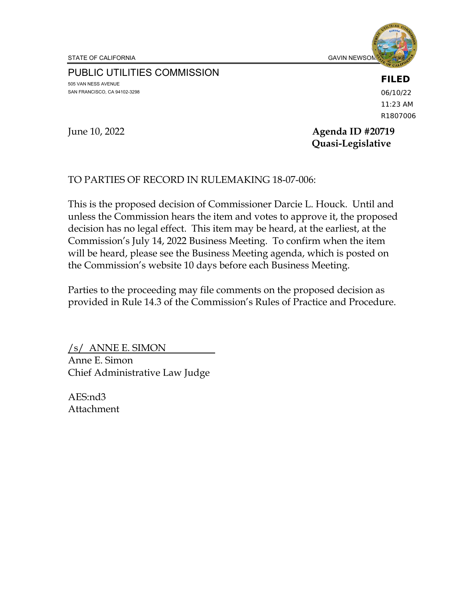STATE OF CALIFORNIA GAVIN NEWSOM, GOVERNO IN THE GAVIN NEWSOM, GAVIN NEWSOM, GAVIN NEWSOM, GAVIN NEWSOM, GAVIN NEWSOM,  $\overline{G}$ 



PUBLIC UTILITIES COMMISSION 505 VAN NESS AVENUE SAN FRANCISCO, CA 94102-3298

**FILED**

06/10/22 11:23 AM R1807006

#### June 10, 2022 **Agenda ID #20719 Quasi-Legislative**

# TO PARTIES OF RECORD IN RULEMAKING 18-07-006:

This is the proposed decision of Commissioner Darcie L. Houck. Until and unless the Commission hears the item and votes to approve it, the proposed decision has no legal effect. This item may be heard, at the earliest, at the Commission's July 14, 2022 Business Meeting. To confirm when the item will be heard, please see the Business Meeting agenda, which is posted on the Commission's website 10 days before each Business Meeting.

Parties to the proceeding may file comments on the proposed decision as provided in Rule 14.3 of the Commission's Rules of Practice and Procedure.

/s/ ANNE E. SIMON Anne E. Simon Chief Administrative Law Judge

AES:nd3 Attachment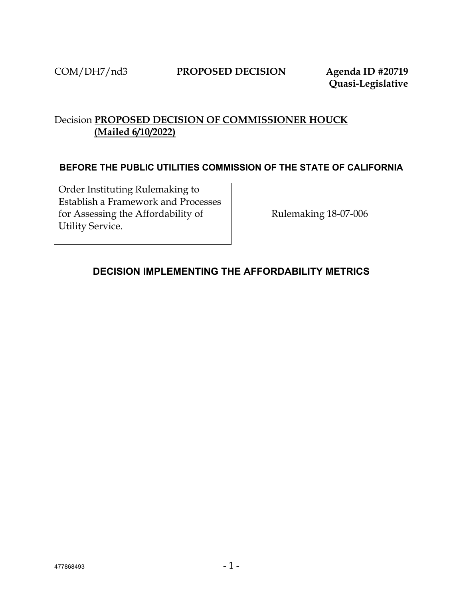**Quasi-Legislative**

# Decision **PROPOSED DECISION OF COMMISSIONER HOUCK (Mailed 6/10/2022)**

#### **BEFORE THE PUBLIC UTILITIES COMMISSION OF THE STATE OF CALIFORNIA**

Order Instituting Rulemaking to Establish a Framework and Processes for Assessing the Affordability of Utility Service.

Rulemaking 18-07-006

# <span id="page-1-0"></span>**DECISION IMPLEMENTING THE AFFORDABILITY METRICS**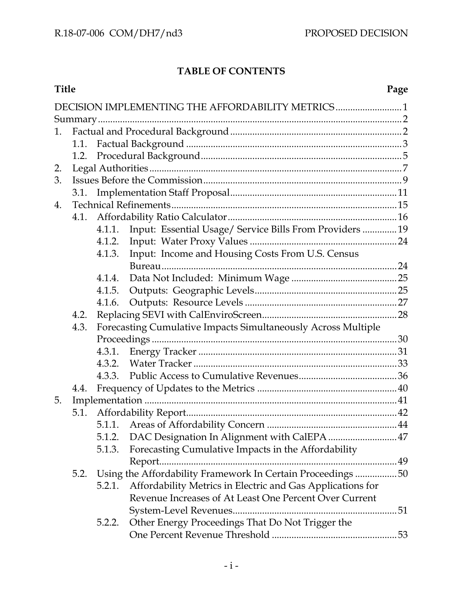# **TABLE OF CONTENTS**

| <b>Title</b> |      |                                                               |                                                             | Page |  |  |  |  |
|--------------|------|---------------------------------------------------------------|-------------------------------------------------------------|------|--|--|--|--|
|              |      |                                                               | DECISION IMPLEMENTING THE AFFORDABILITY METRICS1            |      |  |  |  |  |
|              |      |                                                               |                                                             |      |  |  |  |  |
| 1.           |      |                                                               |                                                             |      |  |  |  |  |
|              | 1.1. |                                                               |                                                             |      |  |  |  |  |
|              | 1.2. |                                                               |                                                             |      |  |  |  |  |
| 2.           |      |                                                               |                                                             |      |  |  |  |  |
| 3.           |      |                                                               |                                                             |      |  |  |  |  |
|              | 3.1. |                                                               |                                                             |      |  |  |  |  |
| 4.           |      |                                                               |                                                             |      |  |  |  |  |
|              | 4.1. |                                                               |                                                             |      |  |  |  |  |
|              |      | 4.1.1.                                                        | Input: Essential Usage/ Service Bills From Providers  19    |      |  |  |  |  |
|              |      | 4.1.2.                                                        |                                                             |      |  |  |  |  |
|              |      | 4.1.3.                                                        | Input: Income and Housing Costs From U.S. Census            |      |  |  |  |  |
|              |      |                                                               |                                                             |      |  |  |  |  |
|              |      | 4.1.4.                                                        |                                                             |      |  |  |  |  |
|              |      | 4.1.5.                                                        |                                                             |      |  |  |  |  |
|              |      | 4.1.6.                                                        |                                                             |      |  |  |  |  |
|              | 4.2. |                                                               |                                                             |      |  |  |  |  |
|              | 4.3. | Forecasting Cumulative Impacts Simultaneously Across Multiple |                                                             |      |  |  |  |  |
|              |      |                                                               |                                                             |      |  |  |  |  |
|              |      | 4.3.1.                                                        |                                                             |      |  |  |  |  |
|              |      |                                                               |                                                             |      |  |  |  |  |
|              |      | 4.3.3.                                                        |                                                             |      |  |  |  |  |
|              | 4.4. |                                                               |                                                             |      |  |  |  |  |
| 5.           |      |                                                               |                                                             |      |  |  |  |  |
|              | 5.1. |                                                               |                                                             |      |  |  |  |  |
|              |      |                                                               |                                                             |      |  |  |  |  |
|              |      | 5.1.2.                                                        | DAC Designation In Alignment with CalEPA  47                |      |  |  |  |  |
|              |      | 5.1.3.                                                        | Forecasting Cumulative Impacts in the Affordability         |      |  |  |  |  |
|              |      |                                                               |                                                             |      |  |  |  |  |
|              | 5.2. |                                                               | Using the Affordability Framework In Certain Proceedings 50 |      |  |  |  |  |
|              |      | 5.2.1.                                                        | Affordability Metrics in Electric and Gas Applications for  |      |  |  |  |  |
|              |      |                                                               | Revenue Increases of At Least One Percent Over Current      |      |  |  |  |  |
|              |      |                                                               |                                                             |      |  |  |  |  |
|              |      | 5.2.2.                                                        | Other Energy Proceedings That Do Not Trigger the            |      |  |  |  |  |
|              |      |                                                               |                                                             |      |  |  |  |  |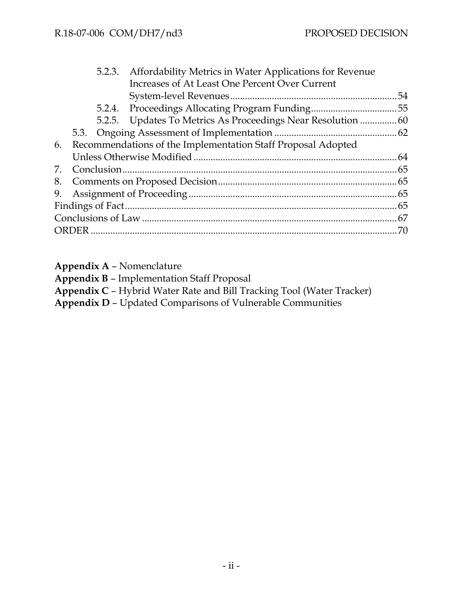|    |                                                                 |  | 5.2.3. Affordability Metrics in Water Applications for Revenue |    |  |  |  |
|----|-----------------------------------------------------------------|--|----------------------------------------------------------------|----|--|--|--|
|    |                                                                 |  | Increases of At Least One Percent Over Current                 |    |  |  |  |
|    |                                                                 |  |                                                                | 54 |  |  |  |
|    |                                                                 |  |                                                                |    |  |  |  |
|    |                                                                 |  |                                                                |    |  |  |  |
|    |                                                                 |  |                                                                |    |  |  |  |
|    | 6. Recommendations of the Implementation Staff Proposal Adopted |  |                                                                |    |  |  |  |
|    |                                                                 |  |                                                                |    |  |  |  |
| 7. |                                                                 |  |                                                                |    |  |  |  |
|    |                                                                 |  |                                                                |    |  |  |  |
|    |                                                                 |  |                                                                |    |  |  |  |
|    |                                                                 |  |                                                                |    |  |  |  |
|    |                                                                 |  |                                                                |    |  |  |  |
|    |                                                                 |  |                                                                |    |  |  |  |
|    |                                                                 |  |                                                                |    |  |  |  |

**Appendix A** – Nomenclature

**Appendix B** – Implementation Staff Proposal

**Appendix C** – Hybrid Water Rate and Bill Tracking Tool (Water Tracker)

**Appendix D** – Updated Comparisons of Vulnerable Communities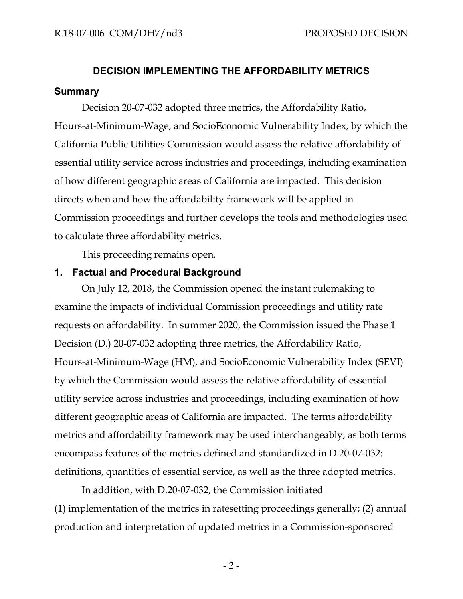# **DECISION IMPLEMENTING THE AFFORDABILITY METRICS Summary**

<span id="page-4-0"></span>Decision 20-07-032 adopted three metrics, the Affordability Ratio, Hours-at-Minimum-Wage, and SocioEconomic Vulnerability Index, by which the California Public Utilities Commission would assess the relative affordability of essential utility service across industries and proceedings, including examination of how different geographic areas of California are impacted. This decision directs when and how the affordability framework will be applied in Commission proceedings and further develops the tools and methodologies used to calculate three affordability metrics.

This proceeding remains open.

#### <span id="page-4-1"></span>**1. Factual and Procedural Background**

On July 12, 2018, the Commission opened the instant rulemaking to examine the impacts of individual Commission proceedings and utility rate requests on affordability. In summer 2020, the Commission issued the Phase 1 Decision (D.) 20-07-032 adopting three metrics, the Affordability Ratio, Hours-at-Minimum-Wage (HM), and SocioEconomic Vulnerability Index (SEVI) by which the Commission would assess the relative affordability of essential utility service across industries and proceedings, including examination of how different geographic areas of California are impacted. The terms affordability metrics and affordability framework may be used interchangeably, as both terms encompass features of the metrics defined and standardized in D.20-07-032: definitions, quantities of essential service, as well as the three adopted metrics.

In addition, with D.20-07-032, the Commission initiated (1) implementation of the metrics in ratesetting proceedings generally; (2) annual production and interpretation of updated metrics in a Commission-sponsored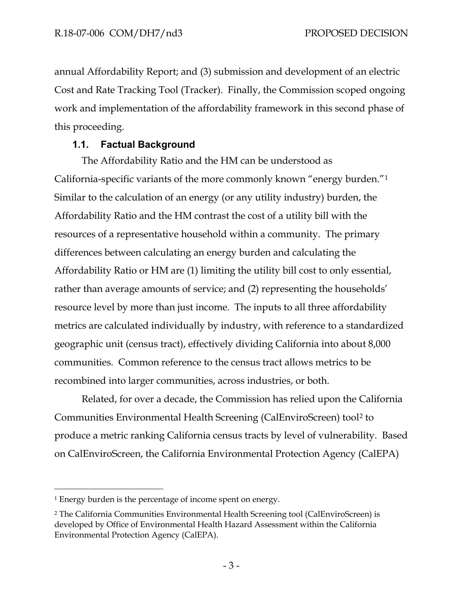annual Affordability Report; and (3) submission and development of an electric Cost and Rate Tracking Tool (Tracker). Finally, the Commission scoped ongoing work and implementation of the affordability framework in this second phase of this proceeding.

#### **1.1. Factual Background**

<span id="page-5-0"></span>The Affordability Ratio and the HM can be understood as California-specific variants of the more commonly known "energy burden."[1](#page-5-1) Similar to the calculation of an energy (or any utility industry) burden, the Affordability Ratio and the HM contrast the cost of a utility bill with the resources of a representative household within a community. The primary differences between calculating an energy burden and calculating the Affordability Ratio or HM are (1) limiting the utility bill cost to only essential, rather than average amounts of service; and (2) representing the households' resource level by more than just income. The inputs to all three affordability metrics are calculated individually by industry, with reference to a standardized geographic unit (census tract), effectively dividing California into about 8,000 communities. Common reference to the census tract allows metrics to be recombined into larger communities, across industries, or both.

Related, for over a decade, the Commission has relied upon the California Communities Environmental Health Screening (CalEnviroScreen) tool[2](#page-5-2) to produce a metric ranking California census tracts by level of vulnerability. Based on CalEnviroScreen, the California Environmental Protection Agency (CalEPA)

<span id="page-5-1"></span><sup>1</sup> Energy burden is the percentage of income spent on energy.

<span id="page-5-2"></span><sup>2</sup> The California Communities Environmental Health Screening tool (CalEnviroScreen) is developed by Office of Environmental Health Hazard Assessment within the California Environmental Protection Agency (CalEPA).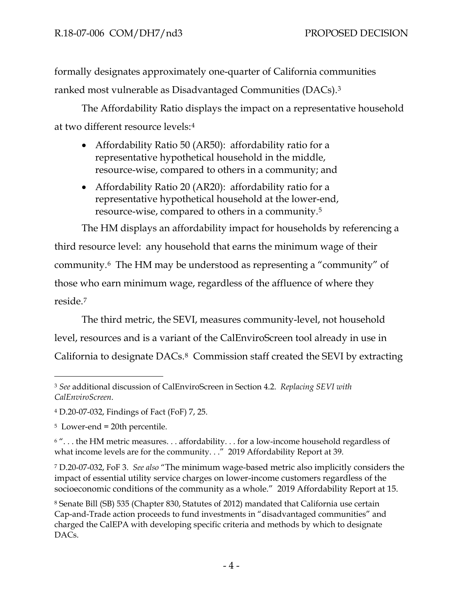formally designates approximately one-quarter of California communities ranked most vulnerable as Disadvantaged Communities (DACs).[3](#page-6-0)

The Affordability Ratio displays the impact on a representative household at two different resource levels:[4](#page-6-1) 

- Affordability Ratio 50 (AR50): affordability ratio for a representative hypothetical household in the middle, resource-wise, compared to others in a community; and
- Affordability Ratio 20 (AR20): affordability ratio for a representative hypothetical household at the lower-end, resource-wise, compared to others in a community.[5](#page-6-2)

The HM displays an affordability impact for households by referencing a third resource level: any household that earns the minimum wage of their community.[6](#page-6-3) The HM may be understood as representing a "community" of those who earn minimum wage, regardless of the affluence of where they reside.[7](#page-6-4)

The third metric, the SEVI, measures community-level, not household level, resources and is a variant of the CalEnviroScreen tool already in use in California to designate DACs.[8](#page-6-5) Commission staff created the SEVI by extracting

<span id="page-6-0"></span><sup>3</sup> *See* additional discussion of CalEnviroScreen in Section 4.2. *Replacing SEVI with CalEnviroScreen*.

<span id="page-6-1"></span><sup>4</sup> D.20-07-032, Findings of Fact (FoF) 7, 25.

<span id="page-6-2"></span><sup>5</sup> Lower-end = 20th percentile.

<span id="page-6-3"></span><sup>&</sup>lt;sup>6</sup> "... the HM metric measures... affordability... for a low-income household regardless of what income levels are for the community. . ." 2019 Affordability Report at 39.

<span id="page-6-4"></span><sup>7</sup> D.20-07-032, FoF 3. *See also* "The minimum wage-based metric also implicitly considers the impact of essential utility service charges on lower-income customers regardless of the socioeconomic conditions of the community as a whole." 2019 Affordability Report at 15.

<span id="page-6-5"></span><sup>8</sup> Senate Bill (SB) 535 (Chapter 830, Statutes of 2012) mandated that California use certain Cap-and-Trade action proceeds to fund investments in "disadvantaged communities" and charged the CalEPA with developing specific criteria and methods by which to designate DACs.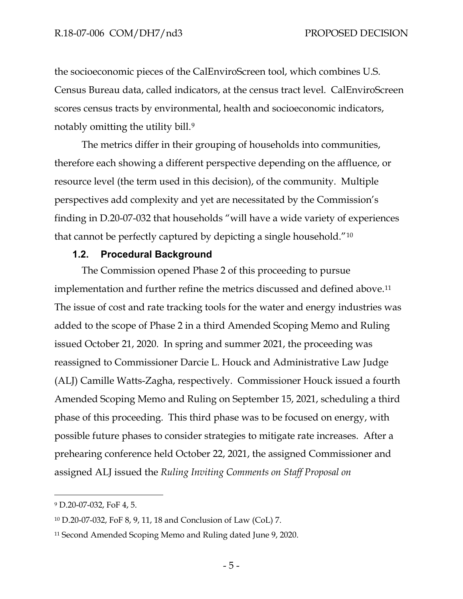the socioeconomic pieces of the CalEnviroScreen tool, which combines U.S. Census Bureau data, called indicators, at the census tract level. CalEnviroScreen scores census tracts by environmental, health and socioeconomic indicators, notably omitting the utility bill.[9](#page-7-1) 

The metrics differ in their grouping of households into communities, therefore each showing a different perspective depending on the affluence, or resource level (the term used in this decision), of the community. Multiple perspectives add complexity and yet are necessitated by the Commission's finding in D.20-07-032 that households "will have a wide variety of experiences that cannot be perfectly captured by depicting a single household."[10](#page-7-2) 

#### **1.2. Procedural Background**

<span id="page-7-0"></span>The Commission opened Phase 2 of this proceeding to pursue implementation and further refine the metrics discussed and defined above.<sup>11</sup> The issue of cost and rate tracking tools for the water and energy industries was added to the scope of Phase 2 in a third Amended Scoping Memo and Ruling issued October 21, 2020. In spring and summer 2021, the proceeding was reassigned to Commissioner Darcie L. Houck and Administrative Law Judge (ALJ) Camille Watts-Zagha, respectively. Commissioner Houck issued a fourth Amended Scoping Memo and Ruling on September 15, 2021, scheduling a third phase of this proceeding. This third phase was to be focused on energy, with possible future phases to consider strategies to mitigate rate increases. After a prehearing conference held October 22, 2021, the assigned Commissioner and assigned ALJ issued the *Ruling Inviting Comments on Staff Proposal on* 

<span id="page-7-1"></span><sup>9</sup> D.20-07-032, FoF 4, 5.

<span id="page-7-2"></span><sup>10</sup> D.20-07-032, FoF 8, 9, 11, 18 and Conclusion of Law (CoL) 7.

<span id="page-7-3"></span><sup>11</sup> Second Amended Scoping Memo and Ruling dated June 9, 2020.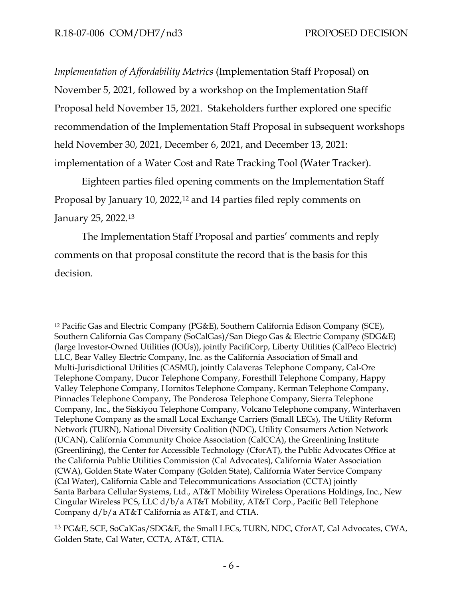*Implementation of Affordability Metrics* (Implementation Staff Proposal) on November 5, 2021, followed by a workshop on the Implementation Staff Proposal held November 15, 2021. Stakeholders further explored one specific recommendation of the Implementation Staff Proposal in subsequent workshops held November 30, 2021, December 6, 2021, and December 13, 2021: implementation of a Water Cost and Rate Tracking Tool (Water Tracker).

Eighteen parties filed opening comments on the Implementation Staff Proposal by January 10, 2022,<sup>[12](#page-8-0)</sup> and 14 parties filed reply comments on January 25, 2022.[13](#page-8-1)

The Implementation Staff Proposal and parties' comments and reply comments on that proposal constitute the record that is the basis for this decision.

<span id="page-8-0"></span><sup>12</sup> Pacific Gas and Electric Company (PG&E), Southern California Edison Company (SCE), Southern California Gas Company (SoCalGas)/San Diego Gas & Electric Company (SDG&E) (large Investor-Owned Utilities (IOUs)), jointly PacifiCorp, Liberty Utilities (CalPeco Electric) LLC, Bear Valley Electric Company, Inc. as the California Association of Small and Multi-Jurisdictional Utilities (CASMU), jointly Calaveras Telephone Company, Cal-Ore Telephone Company, Ducor Telephone Company, Foresthill Telephone Company, Happy Valley Telephone Company, Hornitos Telephone Company, Kerman Telephone Company, Pinnacles Telephone Company, The Ponderosa Telephone Company, Sierra Telephone Company, Inc., the Siskiyou Telephone Company, Volcano Telephone company, Winterhaven Telephone Company as the small Local Exchange Carriers (Small LECs), The Utility Reform Network (TURN), National Diversity Coalition (NDC), Utility Consumers Action Network (UCAN), California Community Choice Association (CalCCA), the Greenlining Institute (Greenlining), the Center for Accessible Technology (CforAT), the Public Advocates Office at the California Public Utilities Commission (Cal Advocates), California Water Association (CWA), Golden State Water Company (Golden State), California Water Service Company (Cal Water), California Cable and Telecommunications Association (CCTA) jointly Santa Barbara Cellular Systems, Ltd., AT&T Mobility Wireless Operations Holdings, Inc., New Cingular Wireless PCS, LLC d/b/a AT&T Mobility, AT&T Corp., Pacific Bell Telephone Company d/b/a AT&T California as AT&T, and CTIA.

<span id="page-8-1"></span><sup>13</sup> PG&E, SCE, SoCalGas/SDG&E, the Small LECs, TURN, NDC, CforAT, Cal Advocates, CWA, Golden State, Cal Water, CCTA, AT&T, CTIA.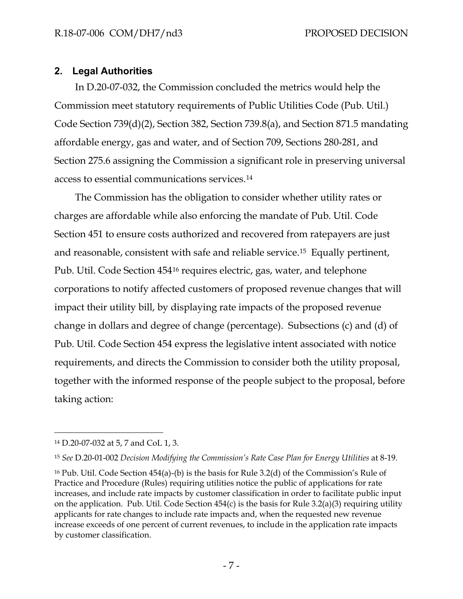#### <span id="page-9-0"></span>**2. Legal Authorities**

In D.20-07-032, the Commission concluded the metrics would help the Commission meet statutory requirements of Public Utilities Code (Pub. Util.) Code Section 739(d)(2), Section 382, Section 739.8(a), and Section 871.5 mandating affordable energy, gas and water, and of Section 709, Sections 280-281, and Section 275.6 assigning the Commission a significant role in preserving universal access to essential communications services.[14](#page-9-1)

The Commission has the obligation to consider whether utility rates or charges are affordable while also enforcing the mandate of Pub. Util. Code Section 451 to ensure costs authorized and recovered from ratepayers are just and reasonable, consistent with safe and reliable service.[15](#page-9-2) Equally pertinent, Pub. Util. Code Section 454[16](#page-9-3) requires electric, gas, water, and telephone corporations to notify affected customers of proposed revenue changes that will impact their utility bill, by displaying rate impacts of the proposed revenue change in dollars and degree of change (percentage). Subsections (c) and (d) of Pub. Util. Code Section 454 express the legislative intent associated with notice requirements, and directs the Commission to consider both the utility proposal, together with the informed response of the people subject to the proposal, before taking action:

<span id="page-9-1"></span><sup>14</sup> D.20-07-032 at 5, 7 and CoL 1, 3.

<span id="page-9-2"></span><sup>15</sup> *See* D.20-01-002 *Decision Modifying the Commission's Rate Case Plan for Energy Utilities* at 8-19.

<span id="page-9-3"></span><sup>16</sup> Pub. Util. Code Section 454(a)-(b) is the basis for Rule 3.2(d) of the Commission's Rule of Practice and Procedure (Rules) requiring utilities notice the public of applications for rate increases, and include rate impacts by customer classification in order to facilitate public input on the application. Pub. Util. Code Section 454(c) is the basis for Rule 3.2(a)(3) requiring utility applicants for rate changes to include rate impacts and, when the requested new revenue increase exceeds of one percent of current revenues, to include in the application rate impacts by customer classification.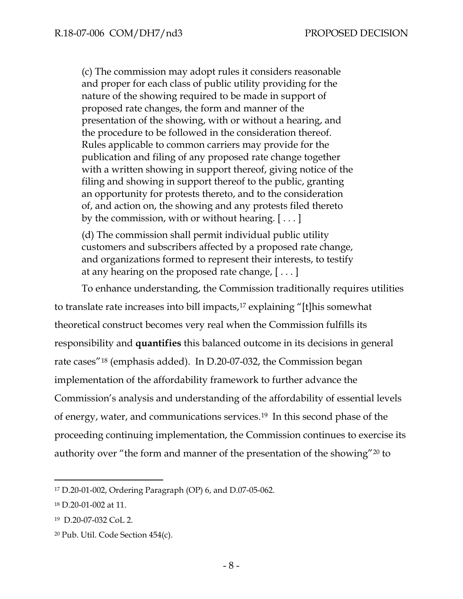(c) The commission may adopt rules it considers reasonable and proper for each class of public utility providing for the nature of the showing required to be made in support of proposed rate changes, the form and manner of the presentation of the showing, with or without a hearing, and the procedure to be followed in the consideration thereof. Rules applicable to common carriers may provide for the publication and filing of any proposed rate change together with a written showing in support thereof, giving notice of the filing and showing in support thereof to the public, granting an opportunity for protests thereto, and to the consideration of, and action on, the showing and any protests filed thereto by the commission, with or without hearing. [ . . . ]

(d) The commission shall permit individual public utility customers and subscribers affected by a proposed rate change, and organizations formed to represent their interests, to testify at any hearing on the proposed rate change, [ . . . ]

To enhance understanding, the Commission traditionally requires utilities to translate rate increases into bill impacts,[17](#page-10-0) explaining "[t]his somewhat theoretical construct becomes very real when the Commission fulfills its responsibility and **quantifies** this balanced outcome in its decisions in general rate cases"[18](#page-10-1) (emphasis added). In D.20-07-032, the Commission began implementation of the affordability framework to further advance the Commission's analysis and understanding of the affordability of essential levels of energy, water, and communications services[.19](#page-10-2) In this second phase of the proceeding continuing implementation, the Commission continues to exercise its authority over "the form and manner of the presentation of the showing"[20](#page-10-3) to

<span id="page-10-0"></span><sup>17</sup> D.20-01-002, Ordering Paragraph (OP) 6, and D.07-05-062.

<span id="page-10-1"></span><sup>18</sup> D.20-01-002 at 11.

<span id="page-10-2"></span><sup>19</sup> D.20-07-032 CoL 2.

<span id="page-10-3"></span><sup>20</sup> Pub. Util. Code Section 454(c).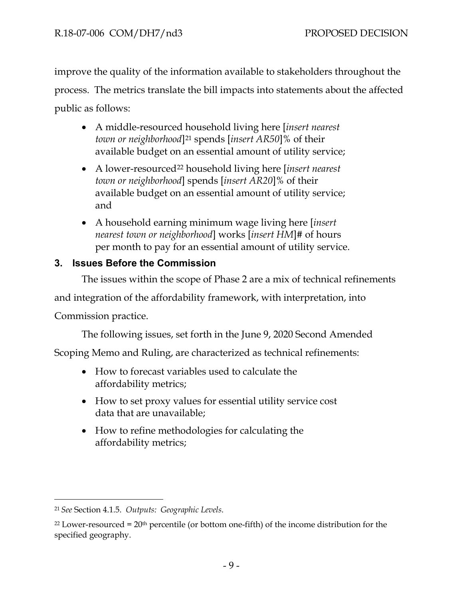improve the quality of the information available to stakeholders throughout the process. The metrics translate the bill impacts into statements about the affected public as follows:

- A middle-resourced household living here [*insert nearest town or neighborhood*][21](#page-11-1) spends [*insert AR50*]% of their available budget on an essential amount of utility service;
- A lower-resourced[22](#page-11-2) household living here [*insert nearest town or neighborhood*] spends [*insert AR20*]% of their available budget on an essential amount of utility service; and
- A household earning minimum wage living here [*insert nearest town or neighborhood*] works [*insert HM*]# of hours per month to pay for an essential amount of utility service.

# <span id="page-11-0"></span>**3. Issues Before the Commission**

The issues within the scope of Phase 2 are a mix of technical refinements

and integration of the affordability framework, with interpretation, into

Commission practice.

The following issues, set forth in the June 9, 2020 Second Amended

Scoping Memo and Ruling, are characterized as technical refinements:

- How to forecast variables used to calculate the affordability metrics;
- How to set proxy values for essential utility service cost data that are unavailable;
- How to refine methodologies for calculating the affordability metrics;

<span id="page-11-1"></span><sup>21</sup> *See* Section 4.1.5. *Outputs: Geographic Levels*.

<span id="page-11-2"></span> $22$  Lower-resourced =  $20<sup>th</sup>$  percentile (or bottom one-fifth) of the income distribution for the specified geography.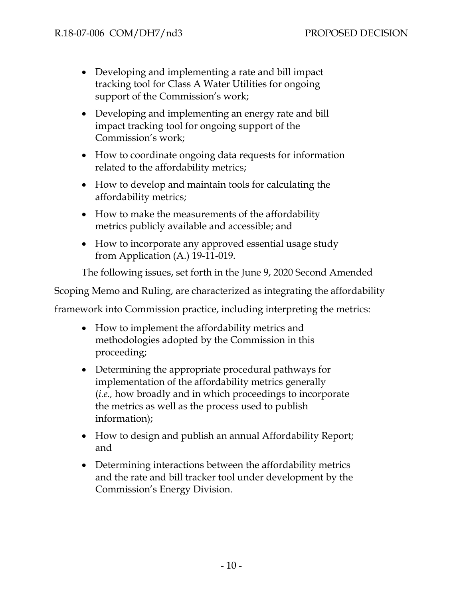- Developing and implementing a rate and bill impact tracking tool for Class A Water Utilities for ongoing support of the Commission's work;
- Developing and implementing an energy rate and bill impact tracking tool for ongoing support of the Commission's work;
- How to coordinate ongoing data requests for information related to the affordability metrics;
- How to develop and maintain tools for calculating the affordability metrics;
- How to make the measurements of the affordability metrics publicly available and accessible; and
- How to incorporate any approved essential usage study from Application (A.) 19-11-019.

The following issues, set forth in the June 9, 2020 Second Amended

Scoping Memo and Ruling, are characterized as integrating the affordability

framework into Commission practice, including interpreting the metrics:

- How to implement the affordability metrics and methodologies adopted by the Commission in this proceeding;
- Determining the appropriate procedural pathways for implementation of the affordability metrics generally (*i.e.,* how broadly and in which proceedings to incorporate the metrics as well as the process used to publish information);
- How to design and publish an annual Affordability Report; and
- Determining interactions between the affordability metrics and the rate and bill tracker tool under development by the Commission's Energy Division.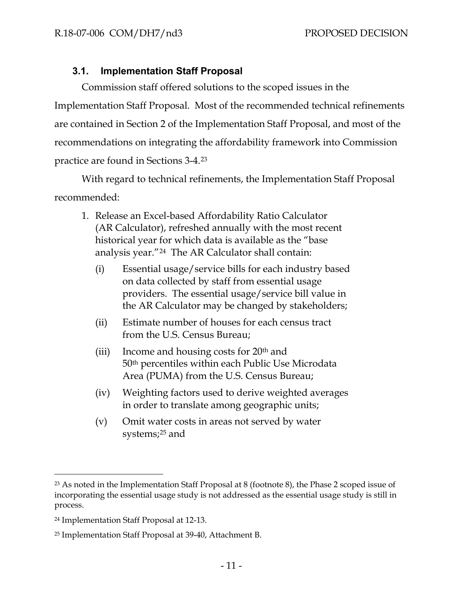# **3.1. Implementation Staff Proposal**

<span id="page-13-0"></span>Commission staff offered solutions to the scoped issues in the Implementation Staff Proposal. Most of the recommended technical refinements are contained in Section 2 of the Implementation Staff Proposal, and most of the recommendations on integrating the affordability framework into Commission practice are found in Sections 3-4.[23](#page-13-1)

With regard to technical refinements, the Implementation Staff Proposal recommended:

- 1. Release an Excel-based Affordability Ratio Calculator (AR Calculator), refreshed annually with the most recent historical year for which data is available as the "base analysis year."[24](#page-13-2) The AR Calculator shall contain:
	- (i) Essential usage/service bills for each industry based on data collected by staff from essential usage providers. The essential usage/service bill value in the AR Calculator may be changed by stakeholders;
	- (ii) Estimate number of houses for each census tract from the U.S. Census Bureau;
	- (iii) Income and housing costs for  $20<sup>th</sup>$  and 50th percentiles within each Public Use Microdata Area (PUMA) from the U.S. Census Bureau;
	- (iv) Weighting factors used to derive weighted averages in order to translate among geographic units;
	- (v) Omit water costs in areas not served by water systems[;25](#page-13-3) and

<span id="page-13-1"></span><sup>23</sup> As noted in the Implementation Staff Proposal at 8 (footnote 8), the Phase 2 scoped issue of incorporating the essential usage study is not addressed as the essential usage study is still in process.

<span id="page-13-2"></span><sup>24</sup> Implementation Staff Proposal at 12-13.

<span id="page-13-3"></span><sup>25</sup> Implementation Staff Proposal at 39-40, Attachment B.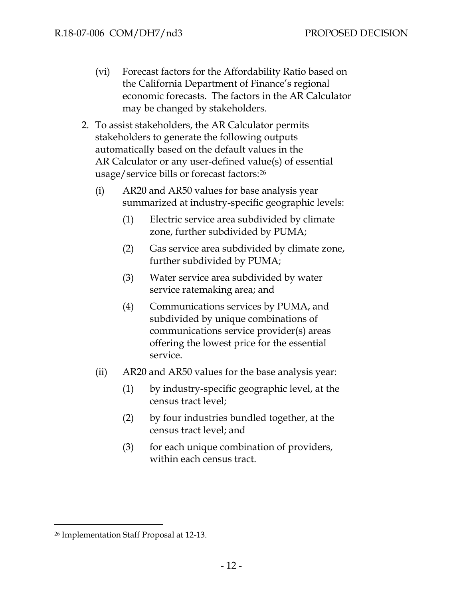- (vi) Forecast factors for the Affordability Ratio based on the California Department of Finance's regional economic forecasts. The factors in the AR Calculator may be changed by stakeholders.
- 2. To assist stakeholders, the AR Calculator permits stakeholders to generate the following outputs automatically based on the default values in the AR Calculator or any user-defined value(s) of essential usage/service bills or forecast factors:[26](#page-14-0)
	- (i) AR20 and AR50 values for base analysis year summarized at industry-specific geographic levels:
		- (1) Electric service area subdivided by climate zone, further subdivided by PUMA;
		- (2) Gas service area subdivided by climate zone, further subdivided by PUMA;
		- (3) Water service area subdivided by water service ratemaking area; and
		- (4) Communications services by PUMA, and subdivided by unique combinations of communications service provider(s) areas offering the lowest price for the essential service.
	- (ii) AR20 and AR50 values for the base analysis year:
		- (1) by industry-specific geographic level, at the census tract level;
		- (2) by four industries bundled together, at the census tract level; and
		- (3) for each unique combination of providers, within each census tract.

<span id="page-14-0"></span><sup>26</sup> Implementation Staff Proposal at 12-13.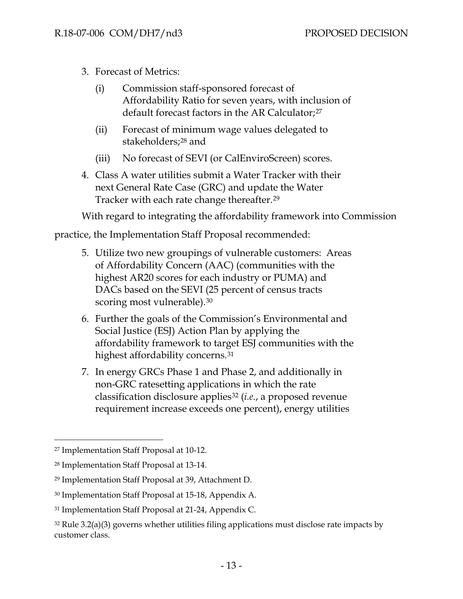- 3. Forecast of Metrics:
	- (i) Commission staff-sponsored forecast of Affordability Ratio for seven years, with inclusion of default forecast factors in the AR Calculator;<sup>[27](#page-15-0)</sup>
	- (ii) Forecast of minimum wage values delegated to stakeholders;[28](#page-15-1) and
	- (iii) No forecast of SEVI (or CalEnviroScreen) scores.
- 4. Class A water utilities submit a Water Tracker with their next General Rate Case (GRC) and update the Water Tracker with each rate change thereafter.<sup>[29](#page-15-2)</sup>

With regard to integrating the affordability framework into Commission

practice, the Implementation Staff Proposal recommended:

- 5. Utilize two new groupings of vulnerable customers: Areas of Affordability Concern (AAC) (communities with the highest AR20 scores for each industry or PUMA) and DACs based on the SEVI (25 percent of census tracts scoring most vulnerable).<sup>[30](#page-15-3)</sup>
- 6. Further the goals of the Commission's Environmental and Social Justice (ESJ) Action Plan by applying the affordability framework to target ESJ communities with the highest affordability concerns.<sup>[31](#page-15-4)</sup>
- 7. In energy GRCs Phase 1 and Phase 2, and additionally in non-GRC ratesetting applications in which the rate classification disclosure applies[32](#page-15-5) (*i.e.*, a proposed revenue requirement increase exceeds one percent), energy utilities

<span id="page-15-0"></span><sup>27</sup> Implementation Staff Proposal at 10-12.

<span id="page-15-1"></span><sup>28</sup> Implementation Staff Proposal at 13-14.

<span id="page-15-2"></span><sup>29</sup> Implementation Staff Proposal at 39, Attachment D.

<span id="page-15-3"></span><sup>30</sup> Implementation Staff Proposal at 15-18, Appendix A.

<span id="page-15-4"></span><sup>31</sup> Implementation Staff Proposal at 21-24, Appendix C.

<span id="page-15-5"></span> $32$  Rule 3.2(a)(3) governs whether utilities filing applications must disclose rate impacts by customer class.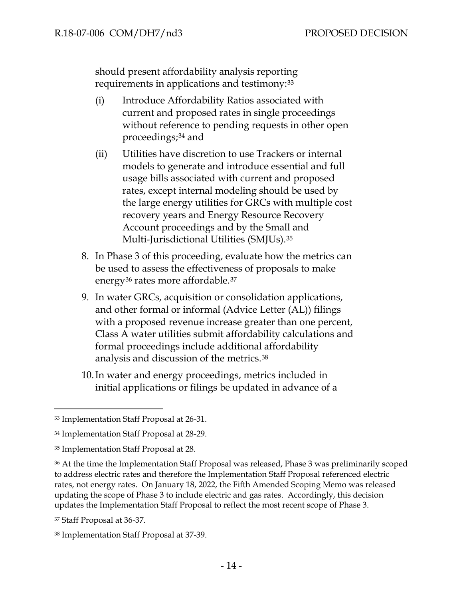should present affordability analysis reporting requirements in applications and testimony:[33](#page-16-0)

- (i) Introduce Affordability Ratios associated with current and proposed rates in single proceedings without reference to pending requests in other open proceedings;[34](#page-16-1) and
- (ii) Utilities have discretion to use Trackers or internal models to generate and introduce essential and full usage bills associated with current and proposed rates, except internal modeling should be used by the large energy utilities for GRCs with multiple cost recovery years and Energy Resource Recovery Account proceedings and by the Small and Multi-Jurisdictional Utilities (SMJUs).[35](#page-16-2)
- 8. In Phase 3 of this proceeding, evaluate how the metrics can be used to assess the effectiveness of proposals to make energy<sup>[36](#page-16-3)</sup> rates more affordable.<sup>[37](#page-16-4)</sup>
- 9. In water GRCs, acquisition or consolidation applications, and other formal or informal (Advice Letter (AL)) filings with a proposed revenue increase greater than one percent, Class A water utilities submit affordability calculations and formal proceedings include additional affordability analysis and discussion of the metrics.[38](#page-16-5)
- 10.In water and energy proceedings, metrics included in initial applications or filings be updated in advance of a

<span id="page-16-0"></span><sup>33</sup> Implementation Staff Proposal at 26-31.

<span id="page-16-1"></span><sup>34</sup> Implementation Staff Proposal at 28-29.

<span id="page-16-2"></span><sup>35</sup> Implementation Staff Proposal at 28.

<span id="page-16-3"></span><sup>36</sup> At the time the Implementation Staff Proposal was released, Phase 3 was preliminarily scoped to address electric rates and therefore the Implementation Staff Proposal referenced electric rates, not energy rates. On January 18, 2022, the Fifth Amended Scoping Memo was released updating the scope of Phase 3 to include electric and gas rates. Accordingly, this decision updates the Implementation Staff Proposal to reflect the most recent scope of Phase 3.

<span id="page-16-4"></span><sup>37</sup> Staff Proposal at 36-37.

<span id="page-16-5"></span><sup>38</sup> Implementation Staff Proposal at 37-39.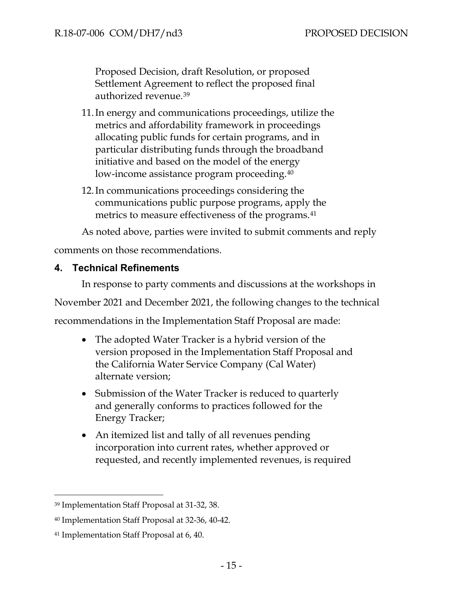Proposed Decision, draft Resolution, or proposed Settlement Agreement to reflect the proposed final authorized revenue[.39](#page-17-1)

- 11.In energy and communications proceedings, utilize the metrics and affordability framework in proceedings allocating public funds for certain programs, and in particular distributing funds through the broadband initiative and based on the model of the energy low-income assistance program proceeding.<sup>[40](#page-17-2)</sup>
- 12.In communications proceedings considering the communications public purpose programs, apply the metrics to measure effectiveness of the programs.<sup>41</sup>

As noted above, parties were invited to submit comments and reply

comments on those recommendations.

# <span id="page-17-0"></span>**4. Technical Refinements**

In response to party comments and discussions at the workshops in

November 2021 and December 2021, the following changes to the technical

recommendations in the Implementation Staff Proposal are made:

- The adopted Water Tracker is a hybrid version of the version proposed in the Implementation Staff Proposal and the California Water Service Company (Cal Water) alternate version;
- Submission of the Water Tracker is reduced to quarterly and generally conforms to practices followed for the Energy Tracker;
- An itemized list and tally of all revenues pending incorporation into current rates, whether approved or requested, and recently implemented revenues, is required

<span id="page-17-1"></span><sup>39</sup> Implementation Staff Proposal at 31-32, 38.

<span id="page-17-2"></span><sup>40</sup> Implementation Staff Proposal at 32-36, 40-42.

<span id="page-17-3"></span><sup>41</sup> Implementation Staff Proposal at 6, 40.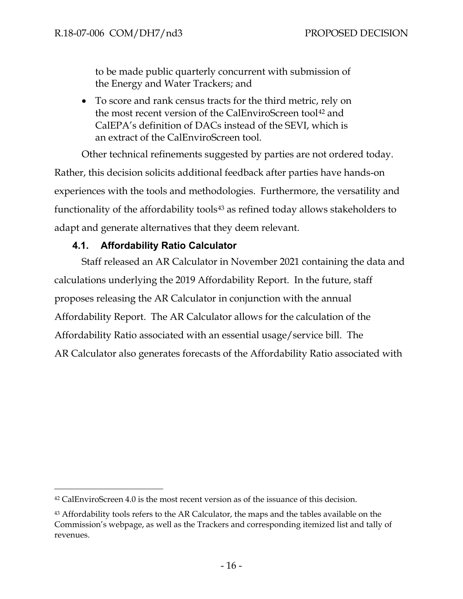to be made public quarterly concurrent with submission of the Energy and Water Trackers; and

• To score and rank census tracts for the third metric, rely on the most recent version of the CalEnviroScreen tool<sup>[42](#page-18-1)</sup> and CalEPA's definition of DACs instead of the SEVI, which is an extract of the CalEnviroScreen tool.

Other technical refinements suggested by parties are not ordered today. Rather, this decision solicits additional feedback after parties have hands-on experiences with the tools and methodologies. Furthermore, the versatility and functionality of the affordability tools<sup>[43](#page-18-2)</sup> as refined today allows stakeholders to adapt and generate alternatives that they deem relevant.

#### **4.1. Affordability Ratio Calculator**

<span id="page-18-0"></span>Staff released an AR Calculator in November 2021 containing the data and calculations underlying the 2019 Affordability Report. In the future, staff proposes releasing the AR Calculator in conjunction with the annual Affordability Report. The AR Calculator allows for the calculation of the Affordability Ratio associated with an essential usage/service bill. The AR Calculator also generates forecasts of the Affordability Ratio associated with

<span id="page-18-1"></span><sup>42</sup> CalEnviroScreen 4.0 is the most recent version as of the issuance of this decision.

<span id="page-18-2"></span><sup>43</sup> Affordability tools refers to the AR Calculator, the maps and the tables available on the Commission's webpage, as well as the Trackers and corresponding itemized list and tally of revenues.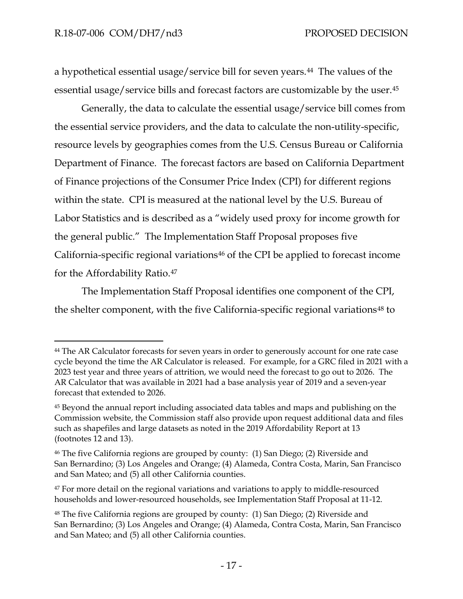a hypothetical essential usage/service bill for seven years.[44](#page-19-0) The values of the essential usage/service bills and forecast factors are customizable by the user.<sup>[45](#page-19-1)</sup>

Generally, the data to calculate the essential usage/service bill comes from the essential service providers, and the data to calculate the non-utility-specific, resource levels by geographies comes from the U.S. Census Bureau or California Department of Finance. The forecast factors are based on California Department of Finance projections of the Consumer Price Index (CPI) for different regions within the state. CPI is measured at the national level by the U.S. Bureau of Labor Statistics and is described as a "widely used proxy for income growth for the general public." The Implementation Staff Proposal proposes five California-specific regional variations[46](#page-19-2) of the CPI be applied to forecast income for the Affordability Ratio.[47](#page-19-3)

The Implementation Staff Proposal identifies one component of the CPI, the shelter component, with the five California-specific regional variations<sup>[48](#page-19-4)</sup> to

<span id="page-19-0"></span><sup>44</sup> The AR Calculator forecasts for seven years in order to generously account for one rate case cycle beyond the time the AR Calculator is released. For example, for a GRC filed in 2021 with a 2023 test year and three years of attrition, we would need the forecast to go out to 2026. The AR Calculator that was available in 2021 had a base analysis year of 2019 and a seven-year forecast that extended to 2026.

<span id="page-19-1"></span><sup>45</sup> Beyond the annual report including associated data tables and maps and publishing on the Commission website, the Commission staff also provide upon request additional data and files such as shapefiles and large datasets as noted in the 2019 Affordability Report at 13 (footnotes 12 and 13).

<span id="page-19-2"></span><sup>46</sup> The five California regions are grouped by county: (1) San Diego; (2) Riverside and San Bernardino; (3) Los Angeles and Orange; (4) Alameda, Contra Costa, Marin, San Francisco and San Mateo; and (5) all other California counties.

<span id="page-19-3"></span><sup>&</sup>lt;sup>47</sup> For more detail on the regional variations and variations to apply to middle-resourced households and lower-resourced households, see Implementation Staff Proposal at 11-12.

<span id="page-19-4"></span><sup>48</sup> The five California regions are grouped by county: (1) San Diego; (2) Riverside and San Bernardino; (3) Los Angeles and Orange; (4) Alameda, Contra Costa, Marin, San Francisco and San Mateo; and (5) all other California counties.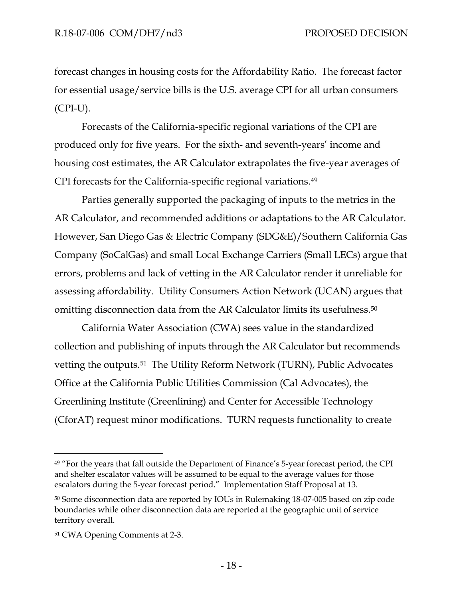forecast changes in housing costs for the Affordability Ratio. The forecast factor for essential usage/service bills is the U.S. average CPI for all urban consumers (CPI-U).

Forecasts of the California-specific regional variations of the CPI are produced only for five years. For the sixth- and seventh-years' income and housing cost estimates, the AR Calculator extrapolates the five-year averages of CPI forecasts for the California-specific regional variations.[49](#page-20-0)

Parties generally supported the packaging of inputs to the metrics in the AR Calculator, and recommended additions or adaptations to the AR Calculator. However, San Diego Gas & Electric Company (SDG&E)/Southern California Gas Company (SoCalGas) and small Local Exchange Carriers (Small LECs) argue that errors, problems and lack of vetting in the AR Calculator render it unreliable for assessing affordability. Utility Consumers Action Network (UCAN) argues that omitting disconnection data from the AR Calculator limits its usefulness.[50](#page-20-1)

California Water Association (CWA) sees value in the standardized collection and publishing of inputs through the AR Calculator but recommends vetting the outputs.[51](#page-20-2) The Utility Reform Network (TURN), Public Advocates Office at the California Public Utilities Commission (Cal Advocates), the Greenlining Institute (Greenlining) and Center for Accessible Technology (CforAT) request minor modifications. TURN requests functionality to create

<span id="page-20-0"></span><sup>&</sup>lt;sup>49</sup> "For the years that fall outside the Department of Finance's 5-year forecast period, the CPI and shelter escalator values will be assumed to be equal to the average values for those escalators during the 5-year forecast period." Implementation Staff Proposal at 13.

<span id="page-20-1"></span><sup>50</sup> Some disconnection data are reported by IOUs in Rulemaking 18-07-005 based on zip code boundaries while other disconnection data are reported at the geographic unit of service territory overall.

<span id="page-20-2"></span><sup>51</sup> CWA Opening Comments at 2-3.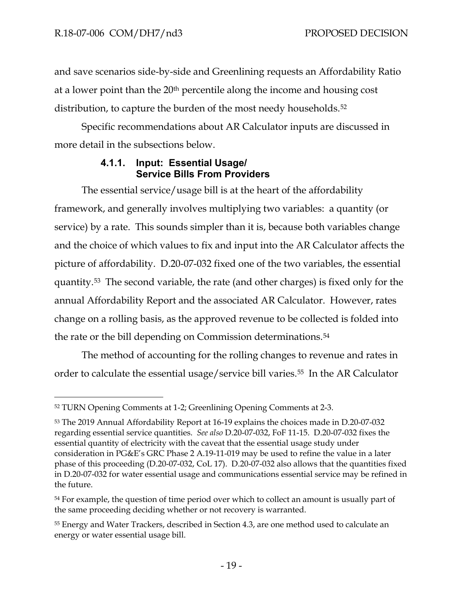and save scenarios side-by-side and Greenlining requests an Affordability Ratio at a lower point than the 20th percentile along the income and housing cost distribution, to capture the burden of the most needy households.<sup>52</sup>

Specific recommendations about AR Calculator inputs are discussed in more detail in the subsections below.

#### **4.1.1. Input: Essential Usage/ Service Bills From Providers**

<span id="page-21-0"></span>The essential service/usage bill is at the heart of the affordability framework, and generally involves multiplying two variables: a quantity (or service) by a rate. This sounds simpler than it is, because both variables change and the choice of which values to fix and input into the AR Calculator affects the picture of affordability. D.20-07-032 fixed one of the two variables, the essential quantity.[53](#page-21-2) The second variable, the rate (and other charges) is fixed only for the annual Affordability Report and the associated AR Calculator. However, rates change on a rolling basis, as the approved revenue to be collected is folded into the rate or the bill depending on Commission determinations.[54](#page-21-3)

The method of accounting for the rolling changes to revenue and rates in order to calculate the essential usage/service bill varies.[55](#page-21-4) In the AR Calculator

<span id="page-21-1"></span><sup>52</sup> TURN Opening Comments at 1-2; Greenlining Opening Comments at 2-3.

<span id="page-21-2"></span><sup>53</sup> The 2019 Annual Affordability Report at 16-19 explains the choices made in D.20-07-032 regarding essential service quantities. *See also* D.20-07-032, FoF 11-15. D.20-07-032 fixes the essential quantity of electricity with the caveat that the essential usage study under consideration in PG&E's GRC Phase 2 A.19-11-019 may be used to refine the value in a later phase of this proceeding (D.20-07-032, CoL 17). D.20-07-032 also allows that the quantities fixed in D.20-07-032 for water essential usage and communications essential service may be refined in the future.

<span id="page-21-3"></span><sup>&</sup>lt;sup>54</sup> For example, the question of time period over which to collect an amount is usually part of the same proceeding deciding whether or not recovery is warranted.

<span id="page-21-4"></span><sup>55</sup> Energy and Water Trackers, described in Section 4.3, are one method used to calculate an energy or water essential usage bill.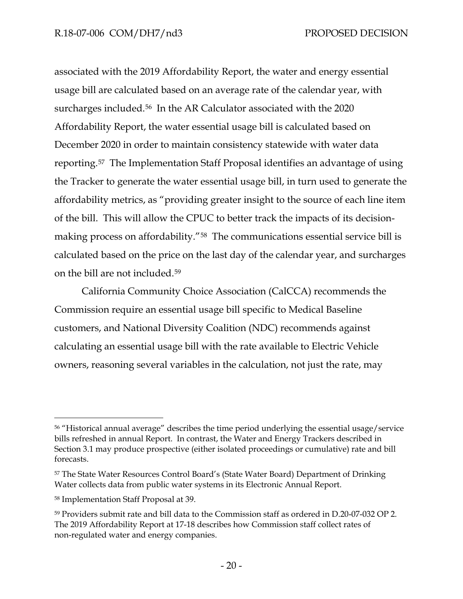associated with the 2019 Affordability Report, the water and energy essential usage bill are calculated based on an average rate of the calendar year, with surcharges included.<sup>56</sup> In the AR Calculator associated with the 2020 Affordability Report, the water essential usage bill is calculated based on December 2020 in order to maintain consistency statewide with water data reporting.[57](#page-22-1) The Implementation Staff Proposal identifies an advantage of using the Tracker to generate the water essential usage bill, in turn used to generate the affordability metrics, as "providing greater insight to the source of each line item of the bill. This will allow the CPUC to better track the impacts of its decisionmaking process on affordability."[58](#page-22-2) The communications essential service bill is calculated based on the price on the last day of the calendar year, and surcharges on the bill are not included.[59](#page-22-3)

California Community Choice Association (CalCCA) recommends the Commission require an essential usage bill specific to Medical Baseline customers, and National Diversity Coalition (NDC) recommends against calculating an essential usage bill with the rate available to Electric Vehicle owners, reasoning several variables in the calculation, not just the rate, may

<span id="page-22-0"></span><sup>56 &</sup>quot;Historical annual average" describes the time period underlying the essential usage/service bills refreshed in annual Report. In contrast, the Water and Energy Trackers described in Section 3.1 may produce prospective (either isolated proceedings or cumulative) rate and bill forecasts.

<span id="page-22-1"></span><sup>57</sup> The State Water Resources Control Board's (State Water Board) Department of Drinking Water collects data from public water systems in its Electronic Annual Report.

<span id="page-22-2"></span><sup>58</sup> Implementation Staff Proposal at 39.

<span id="page-22-3"></span><sup>59</sup> Providers submit rate and bill data to the Commission staff as ordered in D.20-07-032 OP 2. The 2019 Affordability Report at 17-18 describes how Commission staff collect rates of non-regulated water and energy companies.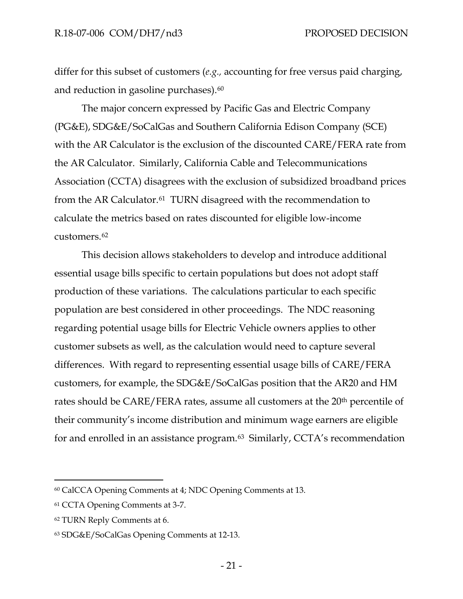differ for this subset of customers (*e.g.,* accounting for free versus paid charging, and reduction in gasoline purchases).<sup>[60](#page-23-0)</sup>

The major concern expressed by Pacific Gas and Electric Company (PG&E), SDG&E/SoCalGas and Southern California Edison Company (SCE) with the AR Calculator is the exclusion of the discounted CARE/FERA rate from the AR Calculator. Similarly, California Cable and Telecommunications Association (CCTA) disagrees with the exclusion of subsidized broadband prices from the AR Calculator.<sup>61</sup> TURN disagreed with the recommendation to calculate the metrics based on rates discounted for eligible low-income customers.[62](#page-23-2)

This decision allows stakeholders to develop and introduce additional essential usage bills specific to certain populations but does not adopt staff production of these variations. The calculations particular to each specific population are best considered in other proceedings. The NDC reasoning regarding potential usage bills for Electric Vehicle owners applies to other customer subsets as well, as the calculation would need to capture several differences. With regard to representing essential usage bills of CARE/FERA customers, for example, the SDG&E/SoCalGas position that the AR20 and HM rates should be CARE/FERA rates, assume all customers at the 20<sup>th</sup> percentile of their community's income distribution and minimum wage earners are eligible for and enrolled in an assistance program.[63](#page-23-3) Similarly, CCTA's recommendation

<span id="page-23-0"></span><sup>60</sup> CalCCA Opening Comments at 4; NDC Opening Comments at 13.

<span id="page-23-1"></span><sup>61</sup> CCTA Opening Comments at 3-7.

<span id="page-23-2"></span><sup>62</sup> TURN Reply Comments at 6.

<span id="page-23-3"></span><sup>63</sup> SDG&E/SoCalGas Opening Comments at 12-13.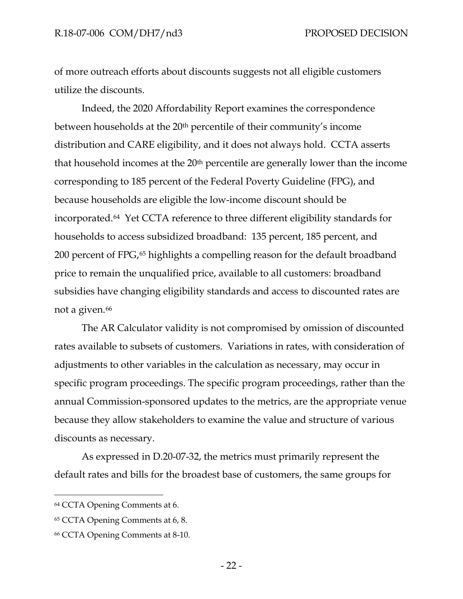of more outreach efforts about discounts suggests not all eligible customers utilize the discounts.

Indeed, the 2020 Affordability Report examines the correspondence between households at the 20<sup>th</sup> percentile of their community's income distribution and CARE eligibility, and it does not always hold. CCTA asserts that household incomes at the  $20<sup>th</sup>$  percentile are generally lower than the income corresponding to 185 percent of the Federal Poverty Guideline (FPG), and because households are eligible the low-income discount should be incorporated.[64](#page-24-0) Yet CCTA reference to three different eligibility standards for households to access subsidized broadband: 135 percent, 185 percent, and 200 percent of FPG[,65](#page-24-1) highlights a compelling reason for the default broadband price to remain the unqualified price, available to all customers: broadband subsidies have changing eligibility standards and access to discounted rates are not a given.<sup>[66](#page-24-2)</sup>

The AR Calculator validity is not compromised by omission of discounted rates available to subsets of customers. Variations in rates, with consideration of adjustments to other variables in the calculation as necessary, may occur in specific program proceedings. The specific program proceedings, rather than the annual Commission-sponsored updates to the metrics, are the appropriate venue because they allow stakeholders to examine the value and structure of various discounts as necessary.

As expressed in D.20-07-32, the metrics must primarily represent the default rates and bills for the broadest base of customers, the same groups for

<span id="page-24-0"></span><sup>64</sup> CCTA Opening Comments at 6.

<span id="page-24-1"></span><sup>65</sup> CCTA Opening Comments at 6, 8.

<span id="page-24-2"></span><sup>66</sup> CCTA Opening Comments at 8-10.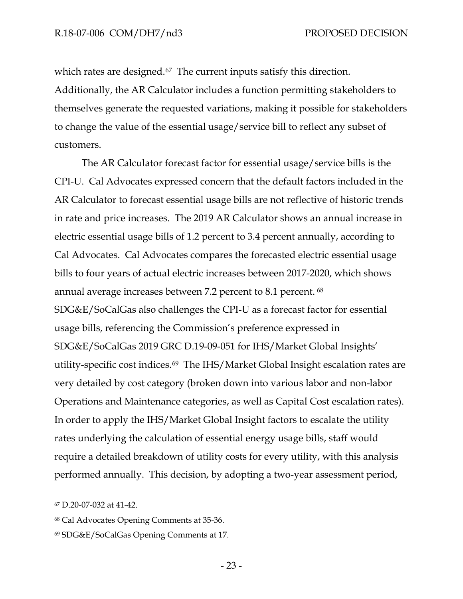which rates are designed.<sup>[67](#page-25-0)</sup> The current inputs satisfy this direction. Additionally, the AR Calculator includes a function permitting stakeholders to themselves generate the requested variations, making it possible for stakeholders to change the value of the essential usage/service bill to reflect any subset of customers.

The AR Calculator forecast factor for essential usage/service bills is the CPI-U. Cal Advocates expressed concern that the default factors included in the AR Calculator to forecast essential usage bills are not reflective of historic trends in rate and price increases. The 2019 AR Calculator shows an annual increase in electric essential usage bills of 1.2 percent to 3.4 percent annually, according to Cal Advocates. Cal Advocates compares the forecasted electric essential usage bills to four years of actual electric increases between 2017-2020, which shows annual average increases between 7.2 percent to 8.1 percent. [68](#page-25-1)  SDG&E/SoCalGas also challenges the CPI-U as a forecast factor for essential usage bills, referencing the Commission's preference expressed in SDG&E/SoCalGas 2019 GRC D.19-09-051 for IHS/Market Global Insights' utility-specific cost indices.[69](#page-25-2) The IHS/Market Global Insight escalation rates are very detailed by cost category (broken down into various labor and non-labor Operations and Maintenance categories, as well as Capital Cost escalation rates). In order to apply the IHS/Market Global Insight factors to escalate the utility rates underlying the calculation of essential energy usage bills, staff would require a detailed breakdown of utility costs for every utility, with this analysis performed annually. This decision, by adopting a two-year assessment period,

<span id="page-25-0"></span><sup>67</sup> D.20-07-032 at 41-42.

<span id="page-25-1"></span><sup>68</sup> Cal Advocates Opening Comments at 35-36.

<span id="page-25-2"></span><sup>69</sup> SDG&E/SoCalGas Opening Comments at 17.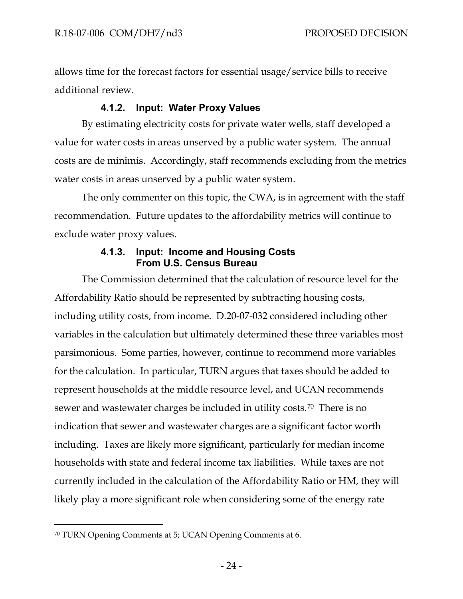allows time for the forecast factors for essential usage/service bills to receive additional review.

# **4.1.2. Input: Water Proxy Values**

<span id="page-26-0"></span>By estimating electricity costs for private water wells, staff developed a value for water costs in areas unserved by a public water system. The annual costs are de minimis. Accordingly, staff recommends excluding from the metrics water costs in areas unserved by a public water system.

The only commenter on this topic, the CWA, is in agreement with the staff recommendation. Future updates to the affordability metrics will continue to exclude water proxy values.

#### **4.1.3. Input: Income and Housing Costs From U.S. Census Bureau**

<span id="page-26-1"></span>The Commission determined that the calculation of resource level for the Affordability Ratio should be represented by subtracting housing costs, including utility costs, from income. D.20-07-032 considered including other variables in the calculation but ultimately determined these three variables most parsimonious. Some parties, however, continue to recommend more variables for the calculation. In particular, TURN argues that taxes should be added to represent households at the middle resource level, and UCAN recommends sewer and wastewater charges be included in utility costs.[70](#page-26-2) There is no indication that sewer and wastewater charges are a significant factor worth including. Taxes are likely more significant, particularly for median income households with state and federal income tax liabilities. While taxes are not currently included in the calculation of the Affordability Ratio or HM, they will likely play a more significant role when considering some of the energy rate

<span id="page-26-2"></span><sup>70</sup> TURN Opening Comments at 5; UCAN Opening Comments at 6.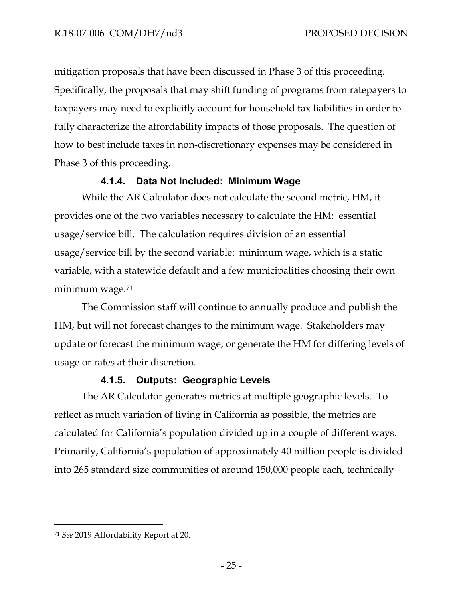mitigation proposals that have been discussed in Phase 3 of this proceeding. Specifically, the proposals that may shift funding of programs from ratepayers to taxpayers may need to explicitly account for household tax liabilities in order to fully characterize the affordability impacts of those proposals. The question of how to best include taxes in non-discretionary expenses may be considered in Phase 3 of this proceeding.

#### **4.1.4. Data Not Included: Minimum Wage**

<span id="page-27-0"></span>While the AR Calculator does not calculate the second metric, HM, it provides one of the two variables necessary to calculate the HM: essential usage/service bill. The calculation requires division of an essential usage/service bill by the second variable: minimum wage, which is a static variable, with a statewide default and a few municipalities choosing their own minimum wage.[71](#page-27-2) 

The Commission staff will continue to annually produce and publish the HM, but will not forecast changes to the minimum wage. Stakeholders may update or forecast the minimum wage, or generate the HM for differing levels of usage or rates at their discretion.

# **4.1.5. Outputs: Geographic Levels**

<span id="page-27-1"></span>The AR Calculator generates metrics at multiple geographic levels. To reflect as much variation of living in California as possible, the metrics are calculated for California's population divided up in a couple of different ways. Primarily, California's population of approximately 40 million people is divided into 265 standard size communities of around 150,000 people each, technically

<span id="page-27-2"></span><sup>71</sup> *See* 2019 Affordability Report at 20.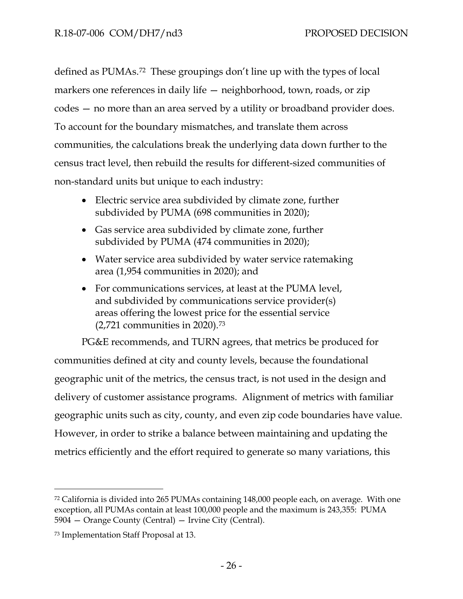defined as PUMAs.[72](#page-28-0) These groupings don't line up with the types of local markers one references in daily life – neighborhood, town, roads, or zip codes — no more than an area served by a utility or broadband provider does. To account for the boundary mismatches, and translate them across communities, the calculations break the underlying data down further to the census tract level, then rebuild the results for different-sized communities of non-standard units but unique to each industry:

- Electric service area subdivided by climate zone, further subdivided by PUMA (698 communities in 2020);
- Gas service area subdivided by climate zone, further subdivided by PUMA (474 communities in 2020);
- Water service area subdivided by water service ratemaking area (1,954 communities in 2020); and
- For communications services, at least at the PUMA level, and subdivided by communications service provider(s) areas offering the lowest price for the essential service (2,721 communities in 2020).[73](#page-28-1)

PG&E recommends, and TURN agrees, that metrics be produced for communities defined at city and county levels, because the foundational geographic unit of the metrics, the census tract, is not used in the design and delivery of customer assistance programs. Alignment of metrics with familiar geographic units such as city, county, and even zip code boundaries have value. However, in order to strike a balance between maintaining and updating the metrics efficiently and the effort required to generate so many variations, this

<span id="page-28-0"></span><sup>72</sup> California is divided into 265 PUMAs containing 148,000 people each, on average. With one exception, all PUMAs contain at least 100,000 people and the maximum is 243,355: PUMA 5904 — Orange County (Central) — Irvine City (Central).

<span id="page-28-1"></span><sup>73</sup> Implementation Staff Proposal at 13.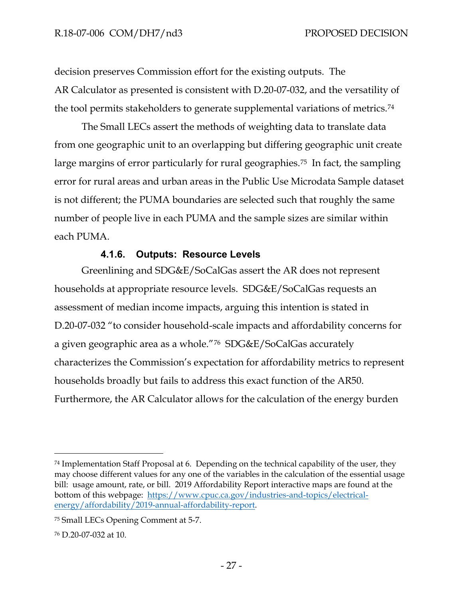decision preserves Commission effort for the existing outputs. The AR Calculator as presented is consistent with D.20-07-032, and the versatility of the tool permits stakeholders to generate supplemental variations of metrics.[74](#page-29-1)

The Small LECs assert the methods of weighting data to translate data from one geographic unit to an overlapping but differing geographic unit create large margins of error particularly for rural geographies.<sup>[75](#page-29-2)</sup> In fact, the sampling error for rural areas and urban areas in the Public Use Microdata Sample dataset is not different; the PUMA boundaries are selected such that roughly the same number of people live in each PUMA and the sample sizes are similar within each PUMA.

#### **4.1.6. Outputs: Resource Levels**

<span id="page-29-0"></span>Greenlining and SDG&E/SoCalGas assert the AR does not represent households at appropriate resource levels. SDG&E/SoCalGas requests an assessment of median income impacts, arguing this intention is stated in D.20-07-032 "to consider household-scale impacts and affordability concerns for a given geographic area as a whole."[76](#page-29-3) SDG&E/SoCalGas accurately characterizes the Commission's expectation for affordability metrics to represent households broadly but fails to address this exact function of the AR50. Furthermore, the AR Calculator allows for the calculation of the energy burden

<span id="page-29-1"></span> $74$  Implementation Staff Proposal at 6. Depending on the technical capability of the user, they may choose different values for any one of the variables in the calculation of the essential usage bill: usage amount, rate, or bill. 2019 Affordability Report interactive maps are found at the bottom of this webpage: [https://www.cpuc.ca.gov/industries-and-topics/electrical](https://www.cpuc.ca.gov/industries-and-topics/electrical-energy/affordability/2019-annual-affordability-report)[energy/affordability/2019-annual-affordability-report.](https://www.cpuc.ca.gov/industries-and-topics/electrical-energy/affordability/2019-annual-affordability-report)

<span id="page-29-2"></span><sup>75</sup> Small LECs Opening Comment at 5-7.

<span id="page-29-3"></span><sup>76</sup> D.20-07-032 at 10.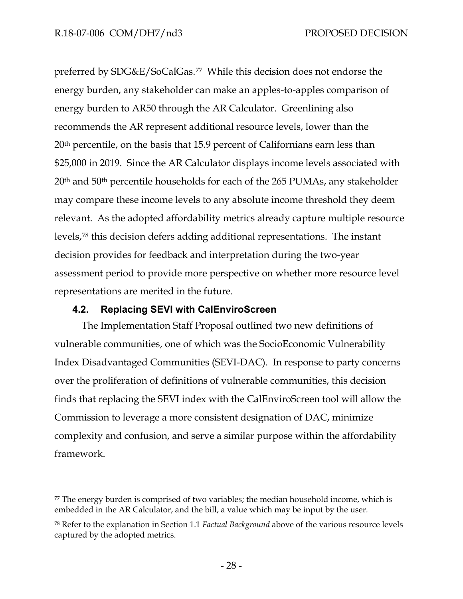preferred by SDG&E/SoCalGas.[77](#page-30-1) While this decision does not endorse the energy burden, any stakeholder can make an apples-to-apples comparison of energy burden to AR50 through the AR Calculator. Greenlining also recommends the AR represent additional resource levels, lower than the 20th percentile, on the basis that 15.9 percent of Californians earn less than \$25,000 in 2019. Since the AR Calculator displays income levels associated with 20th and 50th percentile households for each of the 265 PUMAs, any stakeholder may compare these income levels to any absolute income threshold they deem relevant. As the adopted affordability metrics already capture multiple resource levels,[78](#page-30-2) this decision defers adding additional representations. The instant decision provides for feedback and interpretation during the two-year assessment period to provide more perspective on whether more resource level representations are merited in the future.

#### **4.2. Replacing SEVI with CalEnviroScreen**

<span id="page-30-0"></span>The Implementation Staff Proposal outlined two new definitions of vulnerable communities, one of which was the SocioEconomic Vulnerability Index Disadvantaged Communities (SEVI-DAC). In response to party concerns over the proliferation of definitions of vulnerable communities, this decision finds that replacing the SEVI index with the CalEnviroScreen tool will allow the Commission to leverage a more consistent designation of DAC, minimize complexity and confusion, and serve a similar purpose within the affordability framework.

<span id="page-30-1"></span> $77$  The energy burden is comprised of two variables; the median household income, which is embedded in the AR Calculator, and the bill, a value which may be input by the user.

<span id="page-30-2"></span><sup>78</sup> Refer to the explanation in Section 1.1 *Factual Background* above of the various resource levels captured by the adopted metrics.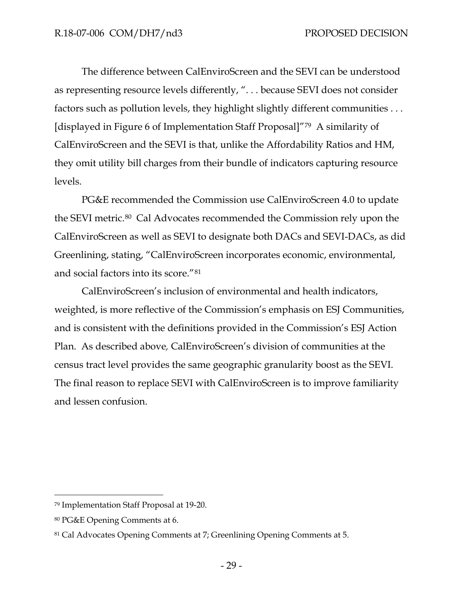The difference between CalEnviroScreen and the SEVI can be understood as representing resource levels differently, ". . . because SEVI does not consider factors such as pollution levels, they highlight slightly different communities . . . [displayed in Figure 6 of Implementation Staff Proposal]"[79](#page-31-0) A similarity of CalEnviroScreen and the SEVI is that, unlike the Affordability Ratios and HM, they omit utility bill charges from their bundle of indicators capturing resource levels.

PG&E recommended the Commission use CalEnviroScreen 4.0 to update the SEVI metric.[80](#page-31-1) Cal Advocates recommended the Commission rely upon the CalEnviroScreen as well as SEVI to designate both DACs and SEVI-DACs, as did Greenlining, stating, "CalEnviroScreen incorporates economic, environmental, and social factors into its score."[81](#page-31-2)

CalEnviroScreen's inclusion of environmental and health indicators, weighted, is more reflective of the Commission's emphasis on ESJ Communities, and is consistent with the definitions provided in the Commission's ESJ Action Plan. As described above*,* CalEnviroScreen's division of communities at the census tract level provides the same geographic granularity boost as the SEVI. The final reason to replace SEVI with CalEnviroScreen is to improve familiarity and lessen confusion.

<span id="page-31-0"></span><sup>79</sup> Implementation Staff Proposal at 19-20.

<span id="page-31-1"></span><sup>80</sup> PG&E Opening Comments at 6.

<span id="page-31-2"></span><sup>81</sup> Cal Advocates Opening Comments at 7; Greenlining Opening Comments at 5.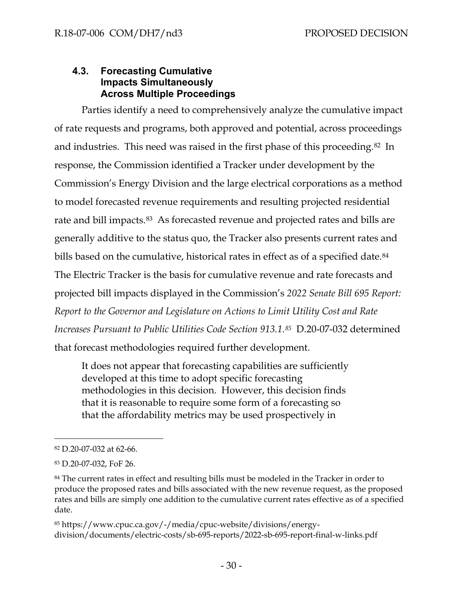#### <span id="page-32-0"></span>**4.3. Forecasting Cumulative Impacts Simultaneously Across Multiple Proceedings**

Parties identify a need to comprehensively analyze the cumulative impact of rate requests and programs, both approved and potential, across proceedings and industries. This need was raised in the first phase of this proceeding.[82](#page-32-1) In response, the Commission identified a Tracker under development by the Commission's Energy Division and the large electrical corporations as a method to model forecasted revenue requirements and resulting projected residential rate and bill impacts.<sup>83</sup> As forecasted revenue and projected rates and bills are generally additive to the status quo, the Tracker also presents current rates and bills based on the cumulative, historical rates in effect as of a specified date.<sup>[84](#page-32-3)</sup> The Electric Tracker is the basis for cumulative revenue and rate forecasts and projected bill impacts displayed in the Commission's *2022 Senate Bill 695 Report: Report to the Governor and Legislature on Actions to Limit Utility Cost and Rate Increases Pursuant to Public Utilities Code Section 913.1.[85](#page-32-4)* D.20-07-032 determined

that forecast methodologies required further development.

It does not appear that forecasting capabilities are sufficiently developed at this time to adopt specific forecasting methodologies in this decision. However, this decision finds that it is reasonable to require some form of a forecasting so that the affordability metrics may be used prospectively in

<span id="page-32-4"></span><sup>85</sup> https://www.cpuc.ca.gov/-/media/cpuc-website/divisions/energydivision/documents/electric-costs/sb-695-reports/2022-sb-695-report-final-w-links.pdf

<span id="page-32-1"></span><sup>82</sup> D.20-07-032 at 62-66.

<span id="page-32-2"></span><sup>83</sup> D.20-07-032, FoF 26.

<span id="page-32-3"></span><sup>84</sup> The current rates in effect and resulting bills must be modeled in the Tracker in order to produce the proposed rates and bills associated with the new revenue request, as the proposed rates and bills are simply one addition to the cumulative current rates effective as of a specified date.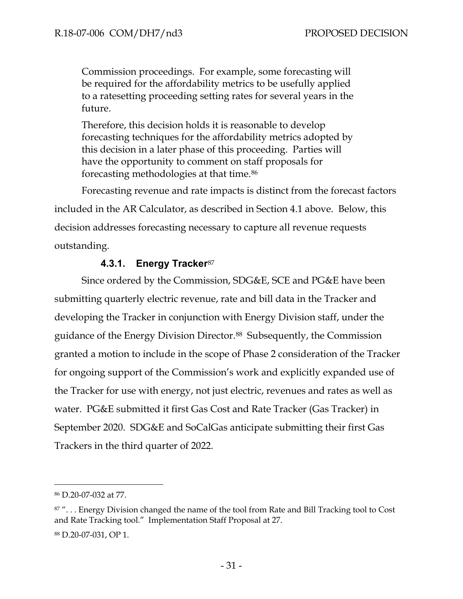Commission proceedings. For example, some forecasting will be required for the affordability metrics to be usefully applied to a ratesetting proceeding setting rates for several years in the future.

Therefore, this decision holds it is reasonable to develop forecasting techniques for the affordability metrics adopted by this decision in a later phase of this proceeding. Parties will have the opportunity to comment on staff proposals for forecasting methodologies at that time[.86](#page-33-1)

Forecasting revenue and rate impacts is distinct from the forecast factors included in the AR Calculator, as described in Section 4.1 above. Below, this decision addresses forecasting necessary to capture all revenue requests outstanding.

# **4.3.1. Energy Tracker**[87](#page-33-2)

<span id="page-33-0"></span>Since ordered by the Commission, SDG&E, SCE and PG&E have been submitting quarterly electric revenue, rate and bill data in the Tracker and developing the Tracker in conjunction with Energy Division staff, under the guidance of the Energy Division Director.[88](#page-33-3) Subsequently, the Commission granted a motion to include in the scope of Phase 2 consideration of the Tracker for ongoing support of the Commission's work and explicitly expanded use of the Tracker for use with energy, not just electric, revenues and rates as well as water. PG&E submitted it first Gas Cost and Rate Tracker (Gas Tracker) in September 2020. SDG&E and SoCalGas anticipate submitting their first Gas Trackers in the third quarter of 2022.

<span id="page-33-1"></span><sup>86</sup> D.20-07-032 at 77.

<span id="page-33-3"></span><span id="page-33-2"></span><sup>87&</sup>quot;... Energy Division changed the name of the tool from Rate and Bill Tracking tool to Cost and Rate Tracking tool." Implementation Staff Proposal at 27. <sup>88</sup> D.20-07-031, OP 1.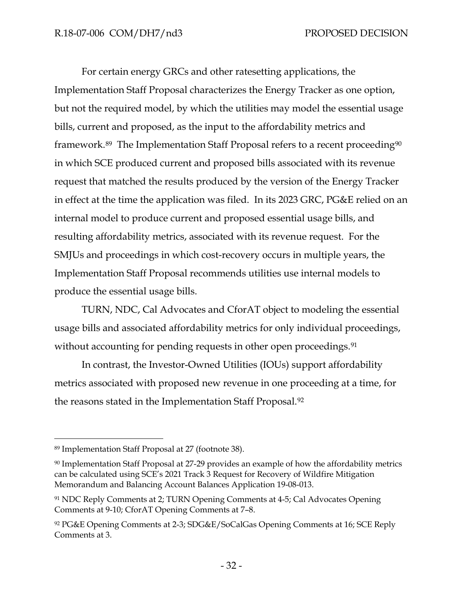For certain energy GRCs and other ratesetting applications, the Implementation Staff Proposal characterizes the Energy Tracker as one option, but not the required model, by which the utilities may model the essential usage bills, current and proposed, as the input to the affordability metrics and framework.<sup>[89](#page-34-0)</sup> The Implementation Staff Proposal refers to a recent proceeding<sup>[90](#page-34-1)</sup> in which SCE produced current and proposed bills associated with its revenue request that matched the results produced by the version of the Energy Tracker in effect at the time the application was filed. In its 2023 GRC, PG&E relied on an internal model to produce current and proposed essential usage bills, and resulting affordability metrics, associated with its revenue request. For the SMJUs and proceedings in which cost-recovery occurs in multiple years, the Implementation Staff Proposal recommends utilities use internal models to produce the essential usage bills.

TURN, NDC, Cal Advocates and CforAT object to modeling the essential usage bills and associated affordability metrics for only individual proceedings, without accounting for pending requests in other open proceedings.<sup>[91](#page-34-2)</sup>

In contrast, the Investor-Owned Utilities (IOUs) support affordability metrics associated with proposed new revenue in one proceeding at a time, for the reasons stated in the Implementation Staff Proposal[.92](#page-34-3)

<span id="page-34-0"></span><sup>89</sup> Implementation Staff Proposal at 27 (footnote 38).

<span id="page-34-1"></span><sup>90</sup> Implementation Staff Proposal at 27-29 provides an example of how the affordability metrics can be calculated using SCE's 2021 Track 3 Request for Recovery of Wildfire Mitigation Memorandum and Balancing Account Balances Application 19-08-013.

<span id="page-34-2"></span><sup>91</sup> NDC Reply Comments at 2; TURN Opening Comments at 4-5; Cal Advocates Opening Comments at 9-10; CforAT Opening Comments at 7–8.

<span id="page-34-3"></span><sup>92</sup> PG&E Opening Comments at 2-3; SDG&E/SoCalGas Opening Comments at 16; SCE Reply Comments at 3.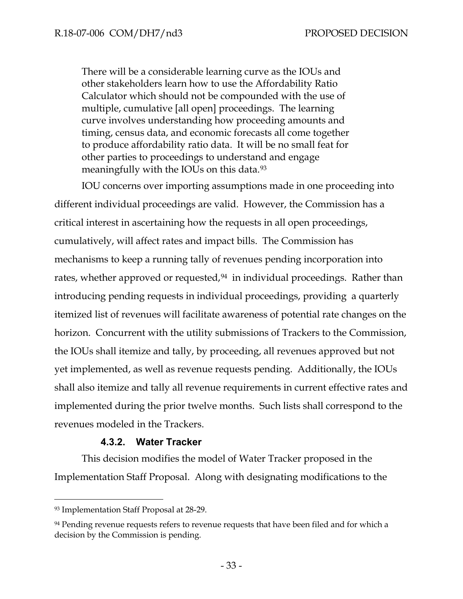There will be a considerable learning curve as the IOUs and other stakeholders learn how to use the Affordability Ratio Calculator which should not be compounded with the use of multiple, cumulative [all open] proceedings. The learning curve involves understanding how proceeding amounts and timing, census data, and economic forecasts all come together to produce affordability ratio data. It will be no small feat for other parties to proceedings to understand and engage meaningfully with the IOUs on this data.<sup>[93](#page-35-1)</sup>

IOU concerns over importing assumptions made in one proceeding into different individual proceedings are valid. However, the Commission has a critical interest in ascertaining how the requests in all open proceedings, cumulatively, will affect rates and impact bills. The Commission has mechanisms to keep a running tally of revenues pending incorporation into rates, whether approved or requested,<sup>94</sup> in individual proceedings. Rather than introducing pending requests in individual proceedings, providing a quarterly itemized list of revenues will facilitate awareness of potential rate changes on the horizon. Concurrent with the utility submissions of Trackers to the Commission, the IOUs shall itemize and tally, by proceeding, all revenues approved but not yet implemented, as well as revenue requests pending. Additionally, the IOUs shall also itemize and tally all revenue requirements in current effective rates and implemented during the prior twelve months. Such lists shall correspond to the revenues modeled in the Trackers.

# **4.3.2. Water Tracker**

<span id="page-35-0"></span>This decision modifies the model of Water Tracker proposed in the Implementation Staff Proposal. Along with designating modifications to the

<span id="page-35-1"></span><sup>93</sup> Implementation Staff Proposal at 28-29.

<span id="page-35-2"></span><sup>&</sup>lt;sup>94</sup> Pending revenue requests refers to revenue requests that have been filed and for which a decision by the Commission is pending.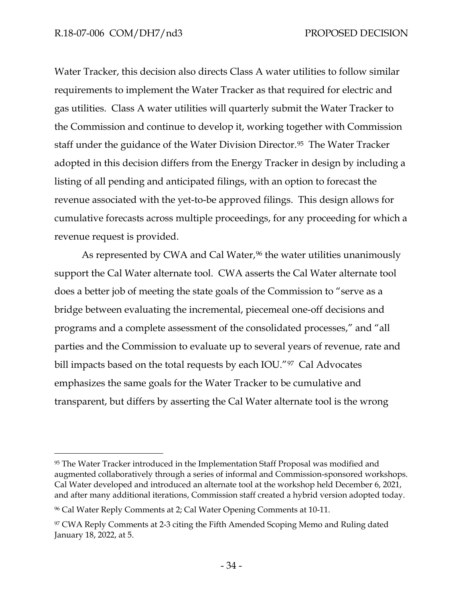Water Tracker, this decision also directs Class A water utilities to follow similar requirements to implement the Water Tracker as that required for electric and gas utilities. Class A water utilities will quarterly submit the Water Tracker to the Commission and continue to develop it, working together with Commission staff under the guidance of the Water Division Director.[95](#page-36-0) The Water Tracker adopted in this decision differs from the Energy Tracker in design by including a listing of all pending and anticipated filings, with an option to forecast the revenue associated with the yet-to-be approved filings. This design allows for cumulative forecasts across multiple proceedings, for any proceeding for which a revenue request is provided.

As represented by CWA and Cal Water,<sup>96</sup> the water utilities unanimously support the Cal Water alternate tool. CWA asserts the Cal Water alternate tool does a better job of meeting the state goals of the Commission to "serve as a bridge between evaluating the incremental, piecemeal one-off decisions and programs and a complete assessment of the consolidated processes," and "all parties and the Commission to evaluate up to several years of revenue, rate and bill impacts based on the total requests by each IOU."[97](#page-36-2) Cal Advocates emphasizes the same goals for the Water Tracker to be cumulative and transparent, but differs by asserting the Cal Water alternate tool is the wrong

<span id="page-36-0"></span><sup>95</sup> The Water Tracker introduced in the Implementation Staff Proposal was modified and augmented collaboratively through a series of informal and Commission-sponsored workshops. Cal Water developed and introduced an alternate tool at the workshop held December 6, 2021, and after many additional iterations, Commission staff created a hybrid version adopted today.

<span id="page-36-1"></span><sup>96</sup> Cal Water Reply Comments at 2; Cal Water Opening Comments at 10-11.

<span id="page-36-2"></span><sup>&</sup>lt;sup>97</sup> CWA Reply Comments at 2-3 citing the Fifth Amended Scoping Memo and Ruling dated January 18, 2022, at 5.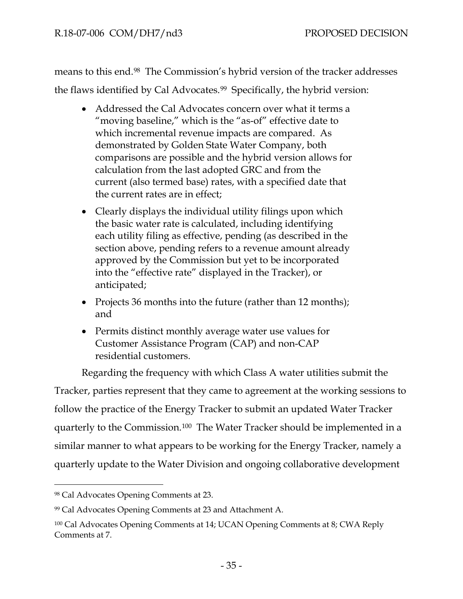means to this end.[98](#page-37-0) The Commission's hybrid version of the tracker addresses the flaws identified by Cal Advocates.<sup>99</sup> Specifically, the hybrid version:

- Addressed the Cal Advocates concern over what it terms a "moving baseline," which is the "as-of" effective date to which incremental revenue impacts are compared. As demonstrated by Golden State Water Company, both comparisons are possible and the hybrid version allows for calculation from the last adopted GRC and from the current (also termed base) rates, with a specified date that the current rates are in effect;
- Clearly displays the individual utility filings upon which the basic water rate is calculated, including identifying each utility filing as effective, pending (as described in the section above, pending refers to a revenue amount already approved by the Commission but yet to be incorporated into the "effective rate" displayed in the Tracker), or anticipated;
- Projects 36 months into the future (rather than 12 months); and
- Permits distinct monthly average water use values for Customer Assistance Program (CAP) and non-CAP residential customers.

Regarding the frequency with which Class A water utilities submit the Tracker, parties represent that they came to agreement at the working sessions to follow the practice of the Energy Tracker to submit an updated Water Tracker quarterly to the Commission.[100](#page-37-2) The Water Tracker should be implemented in a similar manner to what appears to be working for the Energy Tracker, namely a quarterly update to the Water Division and ongoing collaborative development

<span id="page-37-0"></span><sup>98</sup> Cal Advocates Opening Comments at 23.

<span id="page-37-1"></span><sup>99</sup> Cal Advocates Opening Comments at 23 and Attachment A.

<span id="page-37-2"></span><sup>100</sup> Cal Advocates Opening Comments at 14; UCAN Opening Comments at 8; CWA Reply Comments at 7.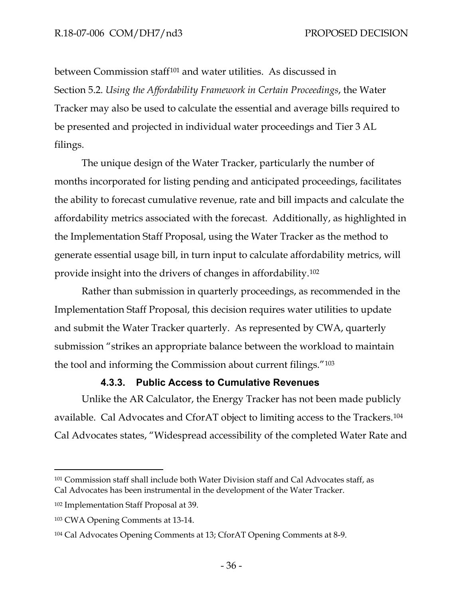between Commission staff[101](#page-38-0) and water utilities. As discussed in Section 5.2. *Using the Affordability Framework in Certain Proceedings*, the Water Tracker may also be used to calculate the essential and average bills required to be presented and projected in individual water proceedings and Tier 3 AL filings.

The unique design of the Water Tracker, particularly the number of months incorporated for listing pending and anticipated proceedings, facilitates the ability to forecast cumulative revenue, rate and bill impacts and calculate the affordability metrics associated with the forecast. Additionally, as highlighted in the Implementation Staff Proposal, using the Water Tracker as the method to generate essential usage bill, in turn input to calculate affordability metrics, will provide insight into the drivers of changes in affordability.[102](#page-38-1)

Rather than submission in quarterly proceedings, as recommended in the Implementation Staff Proposal, this decision requires water utilities to update and submit the Water Tracker quarterly. As represented by CWA, quarterly submission "strikes an appropriate balance between the workload to maintain the tool and informing the Commission about current filings."[103](#page-38-2) 

#### **4.3.3. Public Access to Cumulative Revenues**

Unlike the AR Calculator, the Energy Tracker has not been made publicly available. Cal Advocates and CforAT object to limiting access to the Trackers.[104](#page-38-3) Cal Advocates states, "Widespread accessibility of the completed Water Rate and

<span id="page-38-0"></span><sup>101</sup> Commission staff shall include both Water Division staff and Cal Advocates staff, as Cal Advocates has been instrumental in the development of the Water Tracker.

<span id="page-38-1"></span><sup>102</sup> Implementation Staff Proposal at 39.

<span id="page-38-2"></span><sup>103</sup> CWA Opening Comments at 13-14.

<span id="page-38-3"></span><sup>104</sup> Cal Advocates Opening Comments at 13; CforAT Opening Comments at 8-9.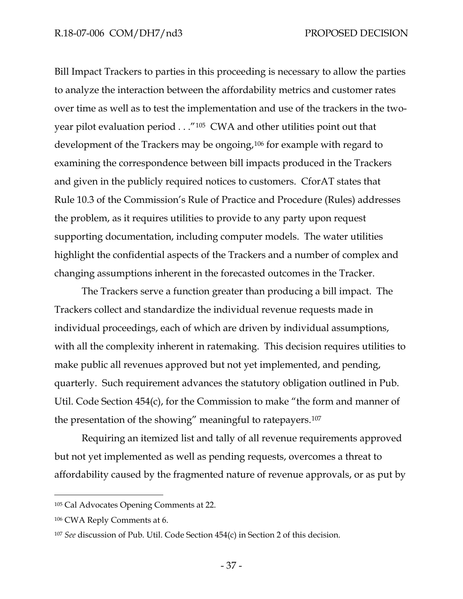Bill Impact Trackers to parties in this proceeding is necessary to allow the parties to analyze the interaction between the affordability metrics and customer rates over time as well as to test the implementation and use of the trackers in the twoyear pilot evaluation period . . ."[105](#page-39-0) CWA and other utilities point out that development of the Trackers may be ongoing,<sup>[106](#page-39-1)</sup> for example with regard to examining the correspondence between bill impacts produced in the Trackers and given in the publicly required notices to customers. CforAT states that Rule 10.3 of the Commission's Rule of Practice and Procedure (Rules) addresses the problem, as it requires utilities to provide to any party upon request supporting documentation, including computer models. The water utilities highlight the confidential aspects of the Trackers and a number of complex and changing assumptions inherent in the forecasted outcomes in the Tracker.

The Trackers serve a function greater than producing a bill impact. The Trackers collect and standardize the individual revenue requests made in individual proceedings, each of which are driven by individual assumptions, with all the complexity inherent in ratemaking. This decision requires utilities to make public all revenues approved but not yet implemented, and pending, quarterly. Such requirement advances the statutory obligation outlined in Pub. Util. Code Section 454(c), for the Commission to make "the form and manner of the presentation of the showing" meaningful to ratepayers.[107](#page-39-2) 

Requiring an itemized list and tally of all revenue requirements approved but not yet implemented as well as pending requests, overcomes a threat to affordability caused by the fragmented nature of revenue approvals, or as put by

<span id="page-39-0"></span><sup>105</sup> Cal Advocates Opening Comments at 22.

<span id="page-39-1"></span><sup>106</sup> CWA Reply Comments at 6.

<span id="page-39-2"></span><sup>107</sup> *See* discussion of Pub. Util. Code Section 454(c) in Section 2 of this decision.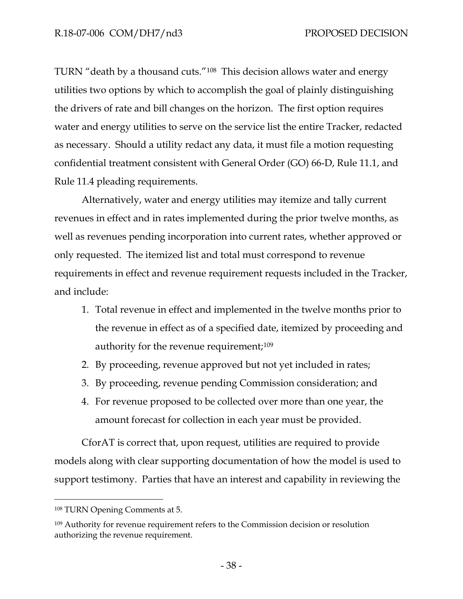TURN "death by a thousand cuts."[108](#page-40-0) This decision allows water and energy utilities two options by which to accomplish the goal of plainly distinguishing the drivers of rate and bill changes on the horizon. The first option requires water and energy utilities to serve on the service list the entire Tracker, redacted as necessary. Should a utility redact any data, it must file a motion requesting confidential treatment consistent with General Order (GO) 66-D, Rule 11.1, and Rule 11.4 pleading requirements.

Alternatively, water and energy utilities may itemize and tally current revenues in effect and in rates implemented during the prior twelve months, as well as revenues pending incorporation into current rates, whether approved or only requested. The itemized list and total must correspond to revenue requirements in effect and revenue requirement requests included in the Tracker, and include:

- 1. Total revenue in effect and implemented in the twelve months prior to the revenue in effect as of a specified date, itemized by proceeding and authority for the revenue requirement;<sup>[109](#page-40-1)</sup>
- 2. By proceeding, revenue approved but not yet included in rates;
- 3. By proceeding, revenue pending Commission consideration; and
- 4. For revenue proposed to be collected over more than one year, the amount forecast for collection in each year must be provided.

CforAT is correct that, upon request, utilities are required to provide models along with clear supporting documentation of how the model is used to support testimony. Parties that have an interest and capability in reviewing the

<span id="page-40-0"></span><sup>108</sup> TURN Opening Comments at 5.

<span id="page-40-1"></span><sup>109</sup> Authority for revenue requirement refers to the Commission decision or resolution authorizing the revenue requirement.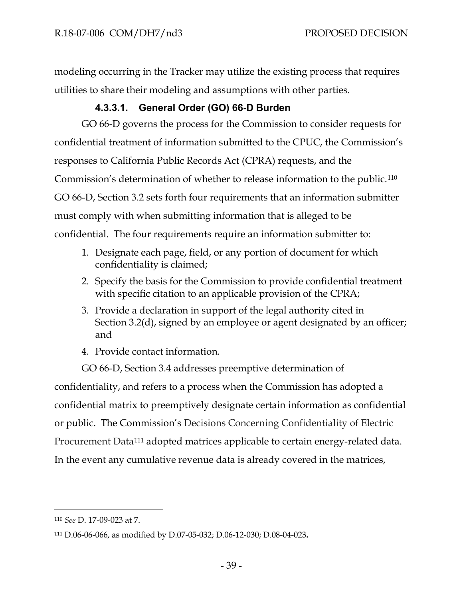modeling occurring in the Tracker may utilize the existing process that requires utilities to share their modeling and assumptions with other parties.

# **4.3.3.1. General Order (GO) 66-D Burden**

GO 66-D governs the process for the Commission to consider requests for confidential treatment of information submitted to the CPUC, the Commission's responses to California Public Records Act (CPRA) requests, and the Commission's determination of whether to release information to the public.[110](#page-41-0) GO 66-D, Section 3.2 sets forth four requirements that an information submitter must comply with when submitting information that is alleged to be confidential. The four requirements require an information submitter to:

- 1. Designate each page, field, or any portion of document for which confidentiality is claimed;
- 2. Specify the basis for the Commission to provide confidential treatment with specific citation to an applicable provision of the CPRA;
- 3. Provide a declaration in support of the legal authority cited in Section 3.2(d), signed by an employee or agent designated by an officer; and
- 4. Provide contact information.

GO 66-D, Section 3.4 addresses preemptive determination of confidentiality, and refers to a process when the Commission has adopted a confidential matrix to preemptively designate certain information as confidential or public. The Commission's Decisions Concerning Confidentiality of Electric Procurement Data<sup>[111](#page-41-1)</sup> adopted matrices applicable to certain energy-related data.

In the event any cumulative revenue data is already covered in the matrices,

<span id="page-41-0"></span><sup>110</sup> *See* D. 17-09-023 at 7.

<span id="page-41-1"></span><sup>111</sup> [D.06-06-066,](http://docs.cpuc.ca.gov/PUBLISHED/FINAL_DECISION/57772.htm) as modified by [D.07-05-032;](http://docs.cpuc.ca.gov/PUBLISHED/FINAL_DECISION/67665.htm) [D.06-12-030;](http://docs.cpuc.ca.gov/PUBLISHED/FINAL_DECISION/62944.htm) [D.08-04-023](http://docs.cpuc.ca.gov/PUBLISHED/FINAL_DECISION/94606.htm)**.**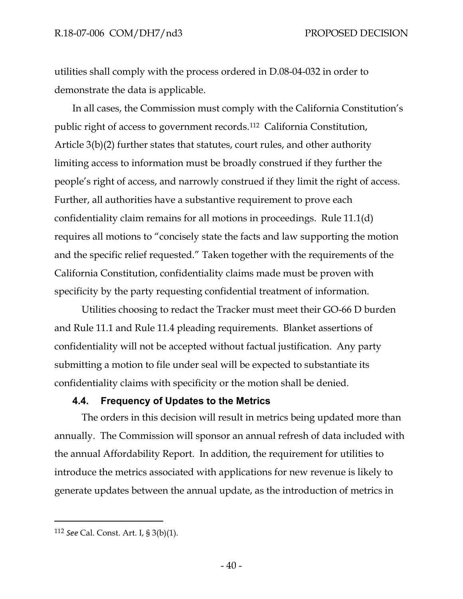utilities shall comply with the process ordered in D.08-04-032 in order to demonstrate the data is applicable.

In all cases, the Commission must comply with the California Constitution's public right of access to government records.[112](#page-42-0) California Constitution, Article 3(b)(2) further states that statutes, court rules, and other authority limiting access to information must be broadly construed if they further the people's right of access, and narrowly construed if they limit the right of access. Further, all authorities have a substantive requirement to prove each confidentiality claim remains for all motions in proceedings. Rule 11.1(d) requires all motions to "concisely state the facts and law supporting the motion and the specific relief requested." Taken together with the requirements of the California Constitution, confidentiality claims made must be proven with specificity by the party requesting confidential treatment of information.

Utilities choosing to redact the Tracker must meet their GO-66 D burden and Rule 11.1 and Rule 11.4 pleading requirements. Blanket assertions of confidentiality will not be accepted without factual justification. Any party submitting a motion to file under seal will be expected to substantiate its confidentiality claims with specificity or the motion shall be denied.

#### **4.4. Frequency of Updates to the Metrics**

The orders in this decision will result in metrics being updated more than annually. The Commission will sponsor an annual refresh of data included with the annual Affordability Report. In addition, the requirement for utilities to introduce the metrics associated with applications for new revenue is likely to generate updates between the annual update, as the introduction of metrics in

<span id="page-42-0"></span><sup>112</sup> *See* Cal. Const. Art. I, § 3(b)(1).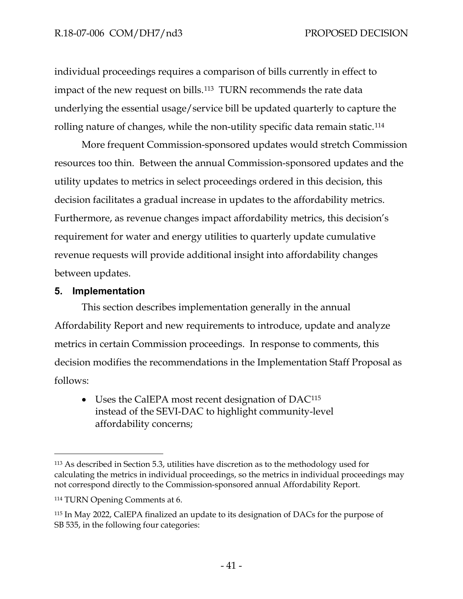individual proceedings requires a comparison of bills currently in effect to impact of the new request on bills.<sup>113</sup> TURN recommends the rate data underlying the essential usage/service bill be updated quarterly to capture the rolling nature of changes, while the non-utility specific data remain static.[114](#page-43-1)

More frequent Commission-sponsored updates would stretch Commission resources too thin. Between the annual Commission-sponsored updates and the utility updates to metrics in select proceedings ordered in this decision, this decision facilitates a gradual increase in updates to the affordability metrics. Furthermore, as revenue changes impact affordability metrics, this decision's requirement for water and energy utilities to quarterly update cumulative revenue requests will provide additional insight into affordability changes between updates.

#### **5. Implementation**

This section describes implementation generally in the annual Affordability Report and new requirements to introduce, update and analyze metrics in certain Commission proceedings. In response to comments, this decision modifies the recommendations in the Implementation Staff Proposal as follows:

• Uses the CalEPA most recent designation of DAC<sup>[115](#page-43-2)</sup> instead of the SEVI-DAC to highlight community-level affordability concerns;

<span id="page-43-0"></span><sup>113</sup> As described in Section 5.3, utilities have discretion as to the methodology used for calculating the metrics in individual proceedings, so the metrics in individual proceedings may not correspond directly to the Commission-sponsored annual Affordability Report.

<span id="page-43-1"></span><sup>114</sup> TURN Opening Comments at 6.

<span id="page-43-2"></span><sup>115</sup> In May 2022, CalEPA finalized an update to its designation of DACs for the purpose of SB 535, in the following four categories: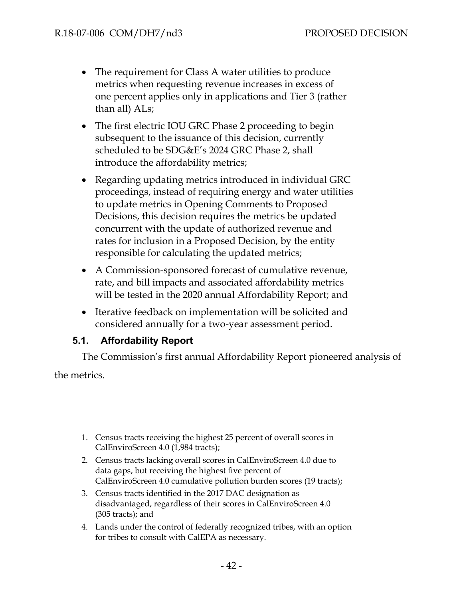- The requirement for Class A water utilities to produce metrics when requesting revenue increases in excess of one percent applies only in applications and Tier 3 (rather than all) ALs;
- The first electric IOU GRC Phase 2 proceeding to begin subsequent to the issuance of this decision, currently scheduled to be SDG&E's 2024 GRC Phase 2, shall introduce the affordability metrics;
- Regarding updating metrics introduced in individual GRC proceedings, instead of requiring energy and water utilities to update metrics in Opening Comments to Proposed Decisions, this decision requires the metrics be updated concurrent with the update of authorized revenue and rates for inclusion in a Proposed Decision, by the entity responsible for calculating the updated metrics;
- A Commission-sponsored forecast of cumulative revenue, rate, and bill impacts and associated affordability metrics will be tested in the 2020 annual Affordability Report; and
- Iterative feedback on implementation will be solicited and considered annually for a two-year assessment period.

## **5.1. Affordability Report**

The Commission's first annual Affordability Report pioneered analysis of the metrics.

- 2. Census tracts lacking overall scores in CalEnviroScreen 4.0 due to data gaps, but receiving the highest five percent of CalEnviroScreen 4.0 cumulative pollution burden scores (19 tracts);
- 3. Census tracts identified in the 2017 DAC designation as disadvantaged, regardless of their scores in CalEnviroScreen 4.0 (305 tracts); and
- 4. Lands under the control of federally recognized tribes, with an option for tribes to consult with CalEPA as necessary.

<sup>1.</sup> Census tracts receiving the highest 25 percent of overall scores in CalEnviroScreen 4.0 (1,984 tracts);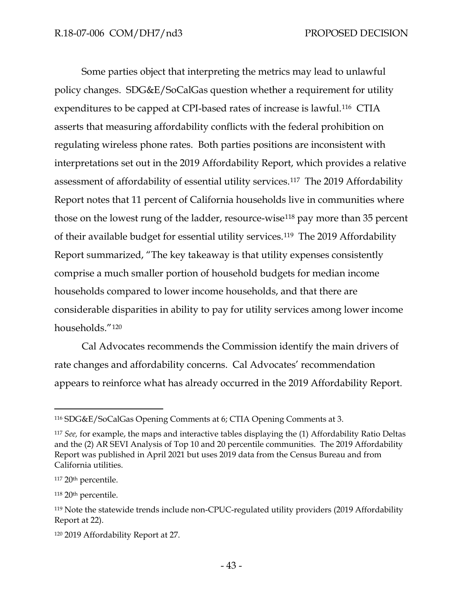Some parties object that interpreting the metrics may lead to unlawful policy changes. SDG&E/SoCalGas question whether a requirement for utility expenditures to be capped at CPI-based rates of increase is lawful.[116](#page-45-0) CTIA asserts that measuring affordability conflicts with the federal prohibition on regulating wireless phone rates. Both parties positions are inconsistent with interpretations set out in the 2019 Affordability Report, which provides a relative assessment of affordability of essential utility services.[117](#page-45-1) The 2019 Affordability Report notes that 11 percent of California households live in communities where those on the lowest rung of the ladder, resource-wise<sup>[118](#page-45-2)</sup> pay more than 35 percent of their available budget for essential utility services.[119](#page-45-3) The 2019 Affordability Report summarized, "The key takeaway is that utility expenses consistently comprise a much smaller portion of household budgets for median income households compared to lower income households, and that there are considerable disparities in ability to pay for utility services among lower income households."[120](#page-45-4)

Cal Advocates recommends the Commission identify the main drivers of rate changes and affordability concerns. Cal Advocates' recommendation appears to reinforce what has already occurred in the 2019 Affordability Report.

<span id="page-45-0"></span><sup>116</sup> SDG&E/SoCalGas Opening Comments at 6; CTIA Opening Comments at 3.

<span id="page-45-1"></span><sup>117</sup> *See,* for example, the maps and interactive tables displaying the (1) Affordability Ratio Deltas and the (2) AR SEVI Analysis of Top 10 and 20 percentile communities. The 2019 Affordability Report was published in April 2021 but uses 2019 data from the Census Bureau and from California utilities.

<sup>117 20&</sup>lt;sup>th</sup> percentile.

<span id="page-45-2"></span><sup>118</sup> 20th percentile.

<span id="page-45-3"></span><sup>119</sup> Note the statewide trends include non-CPUC-regulated utility providers (2019 Affordability Report at 22).

<span id="page-45-4"></span><sup>120</sup> 2019 Affordability Report at 27.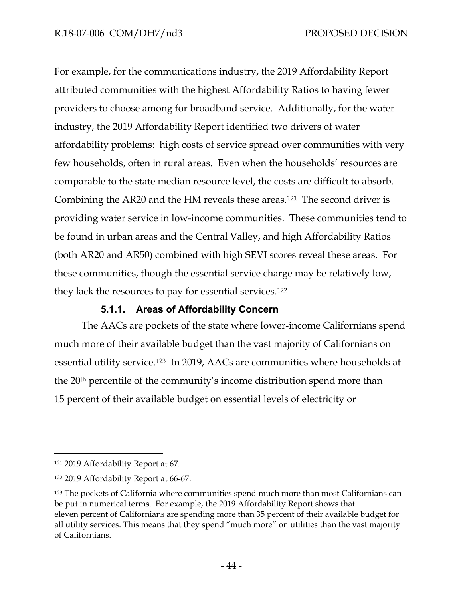For example, for the communications industry, the 2019 Affordability Report attributed communities with the highest Affordability Ratios to having fewer providers to choose among for broadband service. Additionally, for the water industry, the 2019 Affordability Report identified two drivers of water affordability problems: high costs of service spread over communities with very few households, often in rural areas. Even when the households' resources are comparable to the state median resource level, the costs are difficult to absorb. Combining the AR20 and the HM reveals these areas.[121](#page-46-0) The second driver is providing water service in low-income communities. These communities tend to be found in urban areas and the Central Valley, and high Affordability Ratios (both AR20 and AR50) combined with high SEVI scores reveal these areas. For these communities, though the essential service charge may be relatively low, they lack the resources to pay for essential services.[122](#page-46-1)

## **5.1.1. Areas of Affordability Concern**

The AACs are pockets of the state where lower-income Californians spend much more of their available budget than the vast majority of Californians on essential utility service.[123](#page-46-2) In 2019, AACs are communities where households at the 20th percentile of the community's income distribution spend more than 15 percent of their available budget on essential levels of electricity or

<span id="page-46-0"></span><sup>121</sup> 2019 Affordability Report at 67.

<span id="page-46-1"></span><sup>122</sup> 2019 Affordability Report at 66-67.

<span id="page-46-2"></span><sup>123</sup> The pockets of California where communities spend much more than most Californians can be put in numerical terms. For example, the 2019 Affordability Report shows that eleven percent of Californians are spending more than 35 percent of their available budget for all utility services. This means that they spend "much more" on utilities than the vast majority of Californians.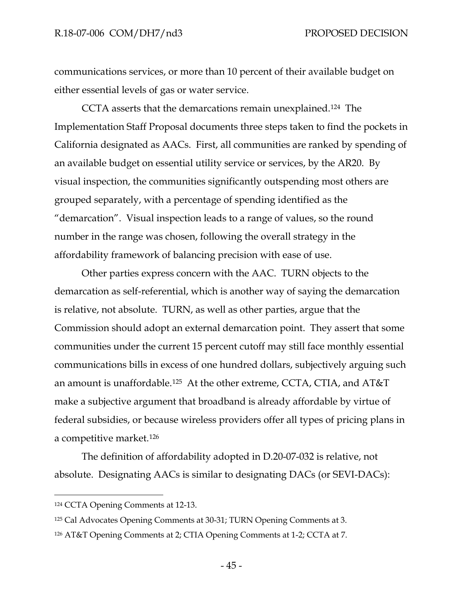communications services, or more than 10 percent of their available budget on either essential levels of gas or water service.

CCTA asserts that the demarcations remain unexplained[.124](#page-47-0) The Implementation Staff Proposal documents three steps taken to find the pockets in California designated as AACs. First, all communities are ranked by spending of an available budget on essential utility service or services, by the AR20. By visual inspection, the communities significantly outspending most others are grouped separately, with a percentage of spending identified as the "demarcation". Visual inspection leads to a range of values, so the round number in the range was chosen, following the overall strategy in the affordability framework of balancing precision with ease of use.

Other parties express concern with the AAC. TURN objects to the demarcation as self-referential, which is another way of saying the demarcation is relative, not absolute. TURN, as well as other parties, argue that the Commission should adopt an external demarcation point. They assert that some communities under the current 15 percent cutoff may still face monthly essential communications bills in excess of one hundred dollars, subjectively arguing such an amount is unaffordable.[125](#page-47-1) At the other extreme, CCTA, CTIA, and AT&T make a subjective argument that broadband is already affordable by virtue of federal subsidies, or because wireless providers offer all types of pricing plans in a competitive market.[126](#page-47-2)

The definition of affordability adopted in D.20-07-032 is relative, not absolute. Designating AACs is similar to designating DACs (or SEVI-DACs):

<span id="page-47-0"></span><sup>124</sup> CCTA Opening Comments at 12-13.

<span id="page-47-1"></span><sup>125</sup> Cal Advocates Opening Comments at 30-31; TURN Opening Comments at 3.

<span id="page-47-2"></span><sup>126</sup> AT&T Opening Comments at 2; CTIA Opening Comments at 1-2; CCTA at 7.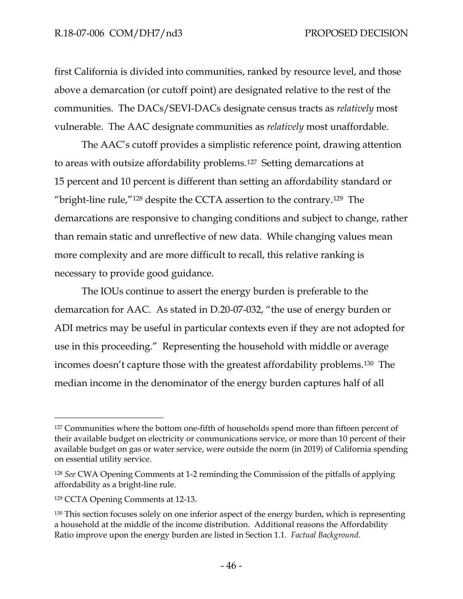first California is divided into communities, ranked by resource level, and those above a demarcation (or cutoff point) are designated relative to the rest of the communities. The DACs/SEVI-DACs designate census tracts as *relatively* most vulnerable. The AAC designate communities as *relatively* most unaffordable.

The AAC's cutoff provides a simplistic reference point, drawing attention to areas with outsize affordability problems.[127](#page-48-0) Setting demarcations at 15 percent and 10 percent is different than setting an affordability standard or "bright-line rule,"[128](#page-48-1) despite the CCTA assertion to the contrary.[129](#page-48-2) The demarcations are responsive to changing conditions and subject to change, rather than remain static and unreflective of new data. While changing values mean more complexity and are more difficult to recall, this relative ranking is necessary to provide good guidance.

The IOUs continue to assert the energy burden is preferable to the demarcation for AAC. As stated in D.20-07-032, "the use of energy burden or ADI metrics may be useful in particular contexts even if they are not adopted for use in this proceeding." Representing the household with middle or average incomes doesn't capture those with the greatest affordability problems.[130](#page-48-3) The median income in the denominator of the energy burden captures half of all

<span id="page-48-0"></span><sup>&</sup>lt;sup>127</sup> Communities where the bottom one-fifth of households spend more than fifteen percent of their available budget on electricity or communications service, or more than 10 percent of their available budget on gas or water service, were outside the norm (in 2019) of California spending on essential utility service.

<span id="page-48-1"></span><sup>128</sup> *See* CWA Opening Comments at 1-2 reminding the Commission of the pitfalls of applying affordability as a bright-line rule.

<span id="page-48-2"></span><sup>129</sup> CCTA Opening Comments at 12-13.

<span id="page-48-3"></span><sup>&</sup>lt;sup>130</sup> This section focuses solely on one inferior aspect of the energy burden, which is representing a household at the middle of the income distribution. Additional reasons the Affordability Ratio improve upon the energy burden are listed in Section 1.1. *Factual Background*.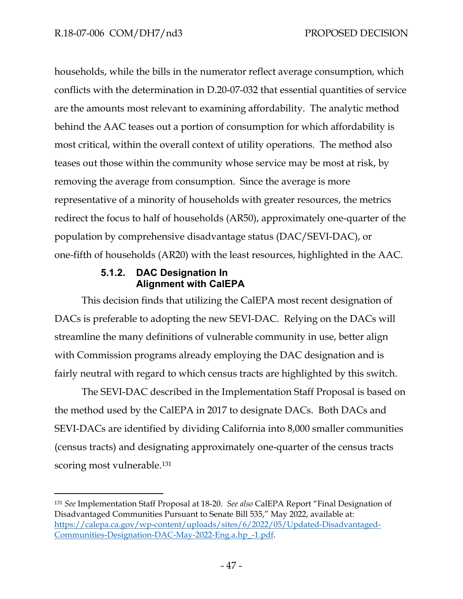households, while the bills in the numerator reflect average consumption, which conflicts with the determination in D.20-07-032 that essential quantities of service are the amounts most relevant to examining affordability. The analytic method behind the AAC teases out a portion of consumption for which affordability is most critical, within the overall context of utility operations. The method also teases out those within the community whose service may be most at risk, by removing the average from consumption. Since the average is more representative of a minority of households with greater resources, the metrics redirect the focus to half of households (AR50), approximately one-quarter of the population by comprehensive disadvantage status (DAC/SEVI-DAC), or one-fifth of households (AR20) with the least resources, highlighted in the AAC.

#### **5.1.2. DAC Designation In Alignment with CalEPA**

This decision finds that utilizing the CalEPA most recent designation of DACs is preferable to adopting the new SEVI-DAC. Relying on the DACs will streamline the many definitions of vulnerable community in use, better align with Commission programs already employing the DAC designation and is fairly neutral with regard to which census tracts are highlighted by this switch.

The SEVI-DAC described in the Implementation Staff Proposal is based on the method used by the CalEPA in 2017 to designate DACs. Both DACs and SEVI-DACs are identified by dividing California into 8,000 smaller communities (census tracts) and designating approximately one-quarter of the census tracts scoring most vulnerable.<sup>[131](#page-49-0)</sup>

<span id="page-49-0"></span><sup>131</sup> *See* Implementation Staff Proposal at 18-20. *See also* CalEPA Report "Final Designation of Disadvantaged Communities Pursuant to Senate Bill 535," May 2022, available at: [https://calepa.ca.gov/wp-content/uploads/sites/6/2022/05/Updated-Disadvantaged-](https://calepa.ca.gov/wp-content/uploads/sites/6/2022/05/Updated-Disadvantaged-Communities-Designation-DAC-May-2022-Eng.a.hp_-1.pdf)[Communities-Designation-DAC-May-2022-Eng.a.hp\\_-1.pdf.](https://calepa.ca.gov/wp-content/uploads/sites/6/2022/05/Updated-Disadvantaged-Communities-Designation-DAC-May-2022-Eng.a.hp_-1.pdf)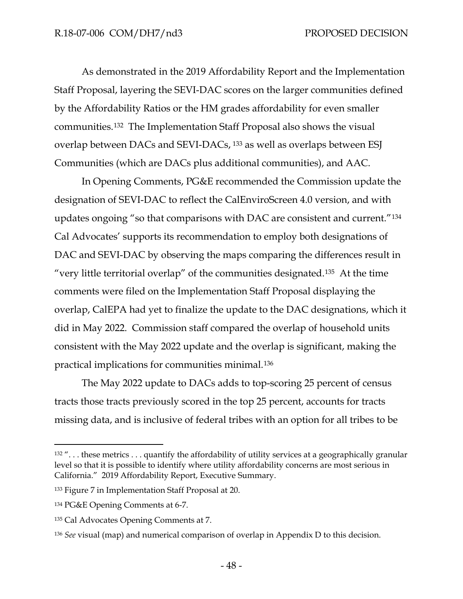As demonstrated in the 2019 Affordability Report and the Implementation Staff Proposal, layering the SEVI-DAC scores on the larger communities defined by the Affordability Ratios or the HM grades affordability for even smaller communities[.132](#page-50-0) The Implementation Staff Proposal also shows the visual overlap between DACs and SEVI-DACs, [133](#page-50-1) as well as overlaps between ESJ Communities (which are DACs plus additional communities), and AAC.

In Opening Comments, PG&E recommended the Commission update the designation of SEVI-DAC to reflect the CalEnviroScreen 4.0 version, and with updates ongoing "so that comparisons with DAC are consistent and current."[134](#page-50-2) Cal Advocates' supports its recommendation to employ both designations of DAC and SEVI-DAC by observing the maps comparing the differences result in "very little territorial overlap" of the communities designated.[135](#page-50-3) At the time comments were filed on the Implementation Staff Proposal displaying the overlap, CalEPA had yet to finalize the update to the DAC designations, which it did in May 2022. Commission staff compared the overlap of household units consistent with the May 2022 update and the overlap is significant, making the practical implications for communities minimal.[136](#page-50-4) 

The May 2022 update to DACs adds to top-scoring 25 percent of census tracts those tracts previously scored in the top 25 percent, accounts for tracts missing data, and is inclusive of federal tribes with an option for all tribes to be

<span id="page-50-0"></span> $132$  "... these metrics ... quantify the affordability of utility services at a geographically granular level so that it is possible to identify where utility affordability concerns are most serious in California." 2019 Affordability Report, Executive Summary.

<span id="page-50-1"></span><sup>133</sup> Figure 7 in Implementation Staff Proposal at 20.

<span id="page-50-2"></span><sup>134</sup> PG&E Opening Comments at 6-7.

<span id="page-50-3"></span><sup>135</sup> Cal Advocates Opening Comments at 7.

<span id="page-50-4"></span><sup>136</sup> *See* visual (map) and numerical comparison of overlap in Appendix D to this decision.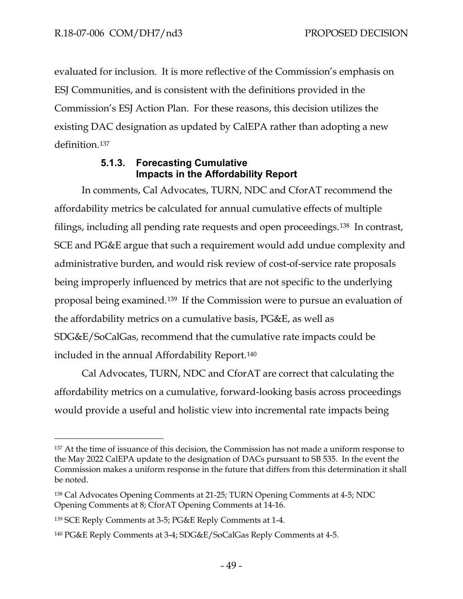evaluated for inclusion. It is more reflective of the Commission's emphasis on ESJ Communities, and is consistent with the definitions provided in the Commission's ESJ Action Plan. For these reasons, this decision utilizes the existing DAC designation as updated by CalEPA rather than adopting a new definition.[137](#page-51-0) 

# **5.1.3. Forecasting Cumulative Impacts in the Affordability Report**

In comments, Cal Advocates, TURN, NDC and CforAT recommend the affordability metrics be calculated for annual cumulative effects of multiple filings, including all pending rate requests and open proceedings.[138](#page-51-1) In contrast, SCE and PG&E argue that such a requirement would add undue complexity and administrative burden, and would risk review of cost-of-service rate proposals being improperly influenced by metrics that are not specific to the underlying proposal being examined[.139](#page-51-2) If the Commission were to pursue an evaluation of the affordability metrics on a cumulative basis, PG&E, as well as SDG&E/SoCalGas, recommend that the cumulative rate impacts could be included in the annual Affordability Report.[140](#page-51-3)

Cal Advocates, TURN, NDC and CforAT are correct that calculating the affordability metrics on a cumulative, forward-looking basis across proceedings would provide a useful and holistic view into incremental rate impacts being

<span id="page-51-0"></span><sup>137</sup> At the time of issuance of this decision, the Commission has not made a uniform response to the May 2022 CalEPA update to the designation of DACs pursuant to SB 535. In the event the Commission makes a uniform response in the future that differs from this determination it shall be noted.

<span id="page-51-1"></span><sup>138</sup> Cal Advocates Opening Comments at 21-25; TURN Opening Comments at 4-5; NDC Opening Comments at 8; CforAT Opening Comments at 14-16.

<span id="page-51-2"></span><sup>139</sup> SCE Reply Comments at 3-5; PG&E Reply Comments at 1-4.

<span id="page-51-3"></span><sup>140</sup> PG&E Reply Comments at 3-4; SDG&E/SoCalGas Reply Comments at 4-5.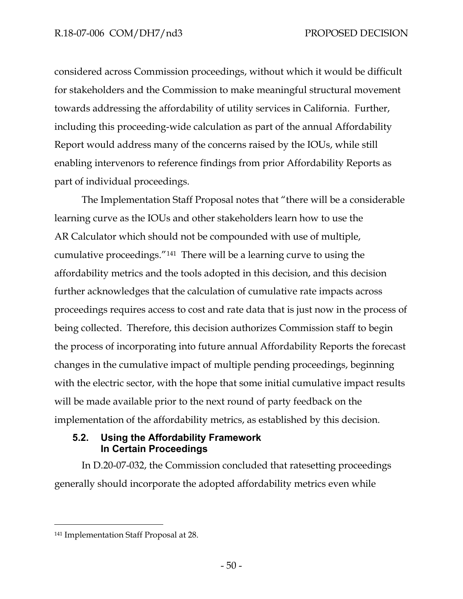considered across Commission proceedings, without which it would be difficult for stakeholders and the Commission to make meaningful structural movement towards addressing the affordability of utility services in California. Further, including this proceeding-wide calculation as part of the annual Affordability Report would address many of the concerns raised by the IOUs, while still enabling intervenors to reference findings from prior Affordability Reports as part of individual proceedings.

The Implementation Staff Proposal notes that "there will be a considerable learning curve as the IOUs and other stakeholders learn how to use the AR Calculator which should not be compounded with use of multiple, cumulative proceedings."[141](#page-52-0) There will be a learning curve to using the affordability metrics and the tools adopted in this decision, and this decision further acknowledges that the calculation of cumulative rate impacts across proceedings requires access to cost and rate data that is just now in the process of being collected. Therefore, this decision authorizes Commission staff to begin the process of incorporating into future annual Affordability Reports the forecast changes in the cumulative impact of multiple pending proceedings, beginning with the electric sector, with the hope that some initial cumulative impact results will be made available prior to the next round of party feedback on the implementation of the affordability metrics, as established by this decision.

## **5.2. Using the Affordability Framework In Certain Proceedings**

In D.20-07-032, the Commission concluded that ratesetting proceedings generally should incorporate the adopted affordability metrics even while

<span id="page-52-0"></span><sup>141</sup> Implementation Staff Proposal at 28.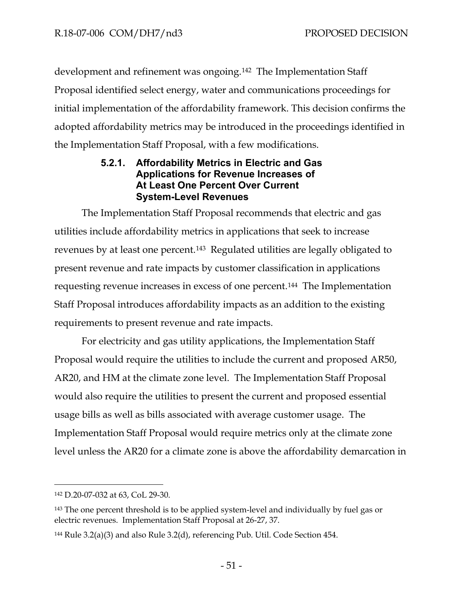development and refinement was ongoing.[142](#page-53-0) The Implementation Staff Proposal identified select energy, water and communications proceedings for initial implementation of the affordability framework. This decision confirms the adopted affordability metrics may be introduced in the proceedings identified in the Implementation Staff Proposal, with a few modifications.

## **5.2.1. Affordability Metrics in Electric and Gas Applications for Revenue Increases of At Least One Percent Over Current System-Level Revenues**

The Implementation Staff Proposal recommends that electric and gas utilities include affordability metrics in applications that seek to increase revenues by at least one percent.[143](#page-53-1) Regulated utilities are legally obligated to present revenue and rate impacts by customer classification in applications requesting revenue increases in excess of one percent.[144](#page-53-2) The Implementation Staff Proposal introduces affordability impacts as an addition to the existing requirements to present revenue and rate impacts.

For electricity and gas utility applications, the Implementation Staff Proposal would require the utilities to include the current and proposed AR50, AR20, and HM at the climate zone level. The Implementation Staff Proposal would also require the utilities to present the current and proposed essential usage bills as well as bills associated with average customer usage. The Implementation Staff Proposal would require metrics only at the climate zone level unless the AR20 for a climate zone is above the affordability demarcation in

<span id="page-53-0"></span><sup>142</sup> D.20-07-032 at 63, CoL 29-30.

<span id="page-53-1"></span><sup>&</sup>lt;sup>143</sup> The one percent threshold is to be applied system-level and individually by fuel gas or electric revenues. Implementation Staff Proposal at 26-27, 37.

<span id="page-53-2"></span><sup>&</sup>lt;sup>144</sup> Rule 3.2(a)(3) and also Rule 3.2(d), referencing Pub. Util. Code Section 454.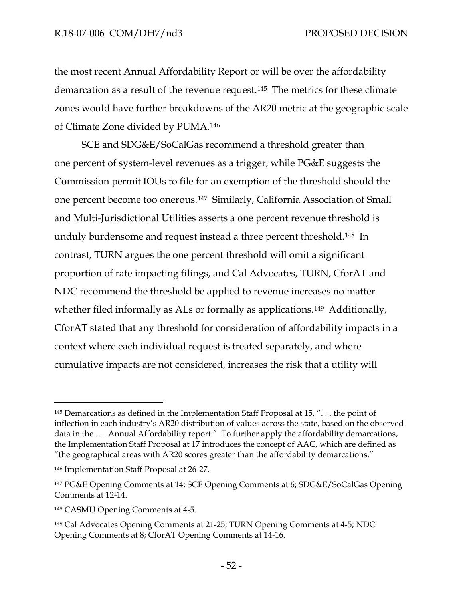the most recent Annual Affordability Report or will be over the affordability demarcation as a result of the revenue request[.145](#page-54-0) The metrics for these climate zones would have further breakdowns of the AR20 metric at the geographic scale of Climate Zone divided by PUMA.[146](#page-54-1)

SCE and SDG&E/SoCalGas recommend a threshold greater than one percent of system-level revenues as a trigger, while PG&E suggests the Commission permit IOUs to file for an exemption of the threshold should the one percent become too onerous.[147](#page-54-2) Similarly, California Association of Small and Multi-Jurisdictional Utilities asserts a one percent revenue threshold is unduly burdensome and request instead a three percent threshold.[148](#page-54-3) In contrast, TURN argues the one percent threshold will omit a significant proportion of rate impacting filings, and Cal Advocates, TURN, CforAT and NDC recommend the threshold be applied to revenue increases no matter whether filed informally as ALs or formally as applications.<sup>[149](#page-54-4)</sup> Additionally, CforAT stated that any threshold for consideration of affordability impacts in a context where each individual request is treated separately, and where cumulative impacts are not considered, increases the risk that a utility will

<span id="page-54-0"></span><sup>145</sup> Demarcations as defined in the Implementation Staff Proposal at 15, ". . . the point of inflection in each industry's AR20 distribution of values across the state, based on the observed data in the . . . Annual Affordability report." To further apply the affordability demarcations, the Implementation Staff Proposal at 17 introduces the concept of AAC, which are defined as "the geographical areas with AR20 scores greater than the affordability demarcations."

<span id="page-54-1"></span><sup>146</sup> Implementation Staff Proposal at 26-27.

<span id="page-54-2"></span><sup>147</sup> PG&E Opening Comments at 14; SCE Opening Comments at 6; SDG&E/SoCalGas Opening Comments at 12-14.

<span id="page-54-3"></span><sup>148</sup> CASMU Opening Comments at 4-5.

<span id="page-54-4"></span><sup>149</sup> Cal Advocates Opening Comments at 21-25; TURN Opening Comments at 4-5; NDC Opening Comments at 8; CforAT Opening Comments at 14-16.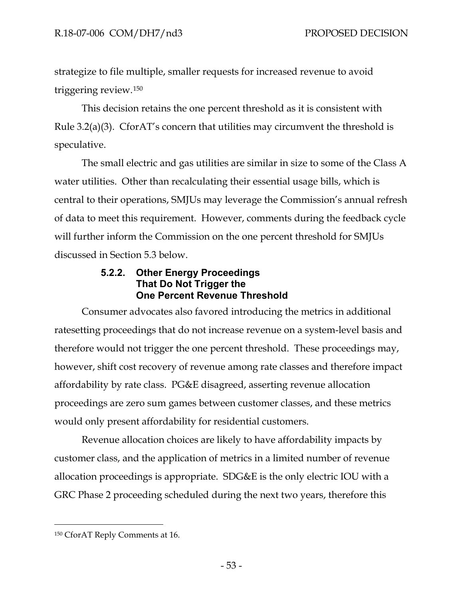strategize to file multiple, smaller requests for increased revenue to avoid triggering review.[150](#page-55-0) 

This decision retains the one percent threshold as it is consistent with Rule 3.2(a)(3). CforAT's concern that utilities may circumvent the threshold is speculative.

The small electric and gas utilities are similar in size to some of the Class A water utilities. Other than recalculating their essential usage bills, which is central to their operations, SMJUs may leverage the Commission's annual refresh of data to meet this requirement. However, comments during the feedback cycle will further inform the Commission on the one percent threshold for SMJUs discussed in Section 5.3 below.

## **5.2.2. Other Energy Proceedings That Do Not Trigger the One Percent Revenue Threshold**

Consumer advocates also favored introducing the metrics in additional ratesetting proceedings that do not increase revenue on a system-level basis and therefore would not trigger the one percent threshold. These proceedings may, however, shift cost recovery of revenue among rate classes and therefore impact affordability by rate class. PG&E disagreed, asserting revenue allocation proceedings are zero sum games between customer classes, and these metrics would only present affordability for residential customers.

Revenue allocation choices are likely to have affordability impacts by customer class, and the application of metrics in a limited number of revenue allocation proceedings is appropriate. SDG&E is the only electric IOU with a GRC Phase 2 proceeding scheduled during the next two years, therefore this

<span id="page-55-0"></span><sup>150</sup> CforAT Reply Comments at 16.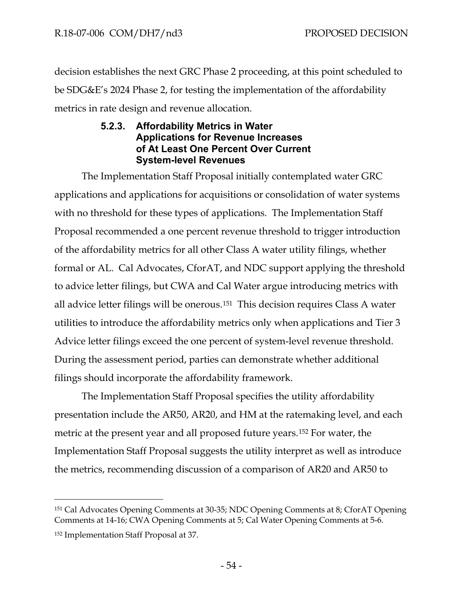decision establishes the next GRC Phase 2 proceeding, at this point scheduled to be SDG&E's 2024 Phase 2, for testing the implementation of the affordability metrics in rate design and revenue allocation.

## **5.2.3. Affordability Metrics in Water Applications for Revenue Increases of At Least One Percent Over Current System-level Revenues**

The Implementation Staff Proposal initially contemplated water GRC applications and applications for acquisitions or consolidation of water systems with no threshold for these types of applications. The Implementation Staff Proposal recommended a one percent revenue threshold to trigger introduction of the affordability metrics for all other Class A water utility filings, whether formal or AL. Cal Advocates, CforAT, and NDC support applying the threshold to advice letter filings, but CWA and Cal Water argue introducing metrics with all advice letter filings will be onerous.[151](#page-56-0) This decision requires Class A water utilities to introduce the affordability metrics only when applications and Tier 3 Advice letter filings exceed the one percent of system-level revenue threshold. During the assessment period, parties can demonstrate whether additional filings should incorporate the affordability framework.

The Implementation Staff Proposal specifies the utility affordability presentation include the AR50, AR20, and HM at the ratemaking level, and each metric at the present year and all proposed future years.[152](#page-56-1) For water, the Implementation Staff Proposal suggests the utility interpret as well as introduce the metrics, recommending discussion of a comparison of AR20 and AR50 to

<span id="page-56-0"></span><sup>151</sup> Cal Advocates Opening Comments at 30-35; NDC Opening Comments at 8; CforAT Opening Comments at 14-16; CWA Opening Comments at 5; Cal Water Opening Comments at 5-6.

<span id="page-56-1"></span><sup>152</sup> Implementation Staff Proposal at 37.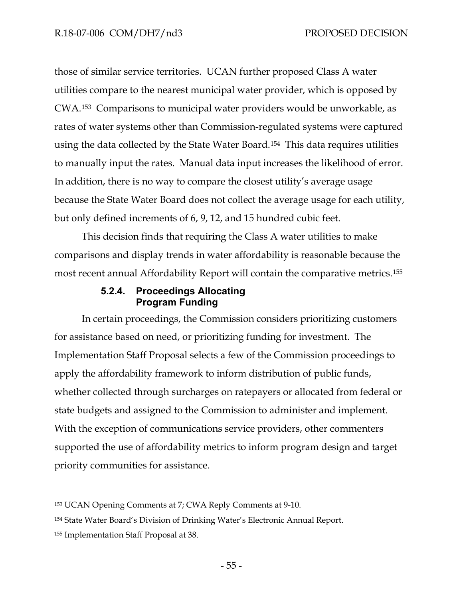those of similar service territories. UCAN further proposed Class A water utilities compare to the nearest municipal water provider, which is opposed by CWA.[153](#page-57-0) Comparisons to municipal water providers would be unworkable, as rates of water systems other than Commission-regulated systems were captured using the data collected by the State Water Board.[154](#page-57-1) This data requires utilities to manually input the rates. Manual data input increases the likelihood of error. In addition, there is no way to compare the closest utility's average usage because the State Water Board does not collect the average usage for each utility, but only defined increments of 6, 9, 12, and 15 hundred cubic feet.

This decision finds that requiring the Class A water utilities to make comparisons and display trends in water affordability is reasonable because the most recent annual Affordability Report will contain the comparative metrics.[155](#page-57-2)

### **5.2.4. Proceedings Allocating Program Funding**

In certain proceedings, the Commission considers prioritizing customers for assistance based on need, or prioritizing funding for investment. The Implementation Staff Proposal selects a few of the Commission proceedings to apply the affordability framework to inform distribution of public funds, whether collected through surcharges on ratepayers or allocated from federal or state budgets and assigned to the Commission to administer and implement. With the exception of communications service providers, other commenters supported the use of affordability metrics to inform program design and target priority communities for assistance.

<span id="page-57-0"></span><sup>153</sup> UCAN Opening Comments at 7; CWA Reply Comments at 9-10.

<span id="page-57-1"></span><sup>154</sup> State Water Board's Division of Drinking Water's Electronic Annual Report.

<span id="page-57-2"></span><sup>155</sup> Implementation Staff Proposal at 38.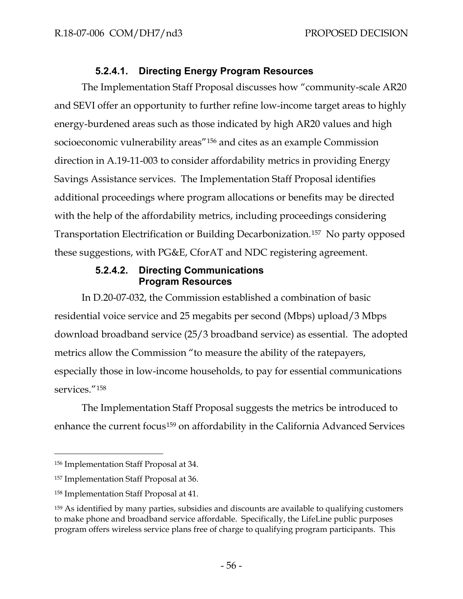# **5.2.4.1. Directing Energy Program Resources**

The Implementation Staff Proposal discusses how "community-scale AR20 and SEVI offer an opportunity to further refine low-income target areas to highly energy-burdened areas such as those indicated by high AR20 values and high socioeconomic vulnerability areas"[156](#page-58-0) and cites as an example Commission direction in A.19-11-003 to consider affordability metrics in providing Energy Savings Assistance services. The Implementation Staff Proposal identifies additional proceedings where program allocations or benefits may be directed with the help of the affordability metrics, including proceedings considering Transportation Electrification or Building Decarbonization.[157](#page-58-1) No party opposed these suggestions, with PG&E, CforAT and NDC registering agreement.

### **5.2.4.2. Directing Communications Program Resources**

In D.20-07-032, the Commission established a combination of basic residential voice service and 25 megabits per second (Mbps) upload/3 Mbps download broadband service (25/3 broadband service) as essential. The adopted metrics allow the Commission "to measure the ability of the ratepayers, especially those in low-income households, to pay for essential communications services."<sup>[158](#page-58-2)</sup>

The Implementation Staff Proposal suggests the metrics be introduced to enhance the current focus<sup>[159](#page-58-3)</sup> on affordability in the California Advanced Services

<span id="page-58-0"></span><sup>156</sup> Implementation Staff Proposal at 34.

<span id="page-58-1"></span><sup>157</sup> Implementation Staff Proposal at 36.

<span id="page-58-2"></span><sup>158</sup> Implementation Staff Proposal at 41.

<span id="page-58-3"></span><sup>159</sup> As identified by many parties, subsidies and discounts are available to qualifying customers to make phone and broadband service affordable. Specifically, the LifeLine public purposes program offers wireless service plans free of charge to qualifying program participants. This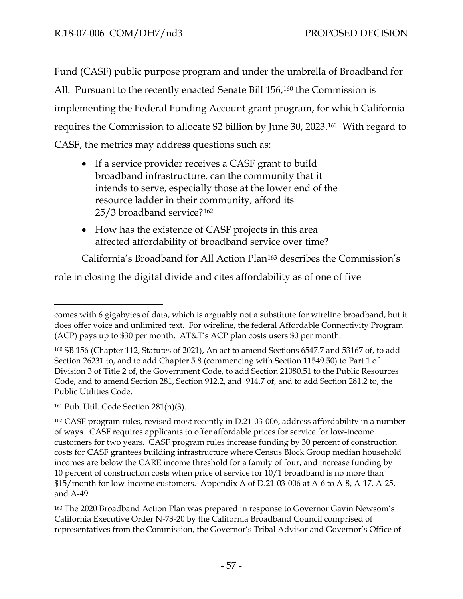Fund (CASF) public purpose program and under the umbrella of Broadband for All. Pursuant to the recently enacted Senate Bill 156,[160](#page-59-0) the Commission is implementing the Federal Funding Account grant program, for which California requires the Commission to allocate \$2 billion by June 30, 2023.[161](#page-59-1) With regard to CASF, the metrics may address questions such as:

- If a service provider receives a CASF grant to build broadband infrastructure, can the community that it intends to serve, especially those at the lower end of the resource ladder in their community, afford its 25/3 broadband service?[162](#page-59-2)
- How has the existence of CASF projects in this area affected affordability of broadband service over time?

California's Broadband for All Action Plan[163](#page-59-3) describes the Commission's

role in closing the digital divide and cites affordability as of one of five

<span id="page-59-1"></span><sup>161</sup> Pub. Util. Code Section 281(n)(3).

comes with 6 gigabytes of data, which is arguably not a substitute for wireline broadband, but it does offer voice and unlimited text. For wireline, the federal Affordable Connectivity Program (ACP) pays up to \$30 per month. AT&T's ACP plan costs users \$0 per month.

<span id="page-59-0"></span><sup>160</sup> SB 156 (Chapter 112, Statutes of 2021), An act to amend Sections 6547.7 and 53167 of, to add Section 26231 to, and to add Chapter 5.8 (commencing with Section 11549.50) to Part 1 of Division 3 of Title 2 of, the Government Code, to add Section 21080.51 to the Public Resources Code, and to amend Section 281, Section 912.2, and 914.7 of, and to add Section 281.2 to, the Public Utilities Code.

<span id="page-59-2"></span><sup>162</sup> CASF program rules, revised most recently in D.21-03-006, address affordability in a number of ways. CASF requires applicants to offer affordable prices for service for low-income customers for two years. CASF program rules increase funding by 30 percent of construction costs for CASF grantees building infrastructure where Census Block Group median household incomes are below the CARE income threshold for a family of four, and increase funding by 10 percent of construction costs when price of service for 10/1 broadband is no more than \$15/month for low-income customers. Appendix A of D.21-03-006 at A-6 to A-8, A-17, A-25, and A-49.

<span id="page-59-3"></span><sup>163</sup> The 2020 Broadband Action Plan was prepared in response to Governor Gavin Newsom's California Executive Order N-73-20 by the California Broadband Council comprised of representatives from the Commission, the Governor's Tribal Advisor and Governor's Office of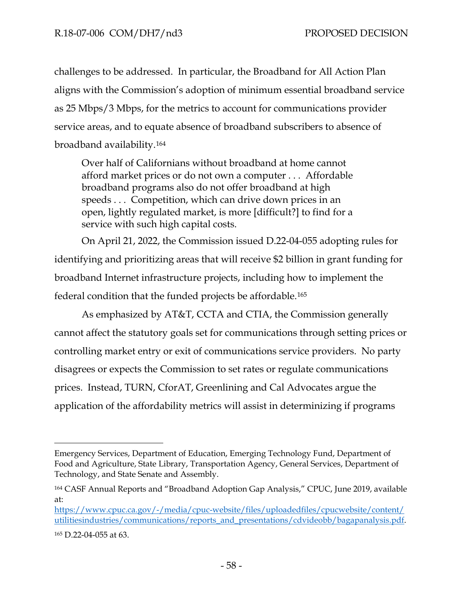challenges to be addressed. In particular, the Broadband for All Action Plan aligns with the Commission's adoption of minimum essential broadband service as 25 Mbps/3 Mbps, for the metrics to account for communications provider service areas, and to equate absence of broadband subscribers to absence of broadband availability.[164](#page-60-0)

Over half of Californians without broadband at home cannot afford market prices or do not own a computer . . . Affordable broadband programs also do not offer broadband at high speeds . . . Competition, which can drive down prices in an open, lightly regulated market, is more [difficult?] to find for a service with such high capital costs.

On April 21, 2022, the Commission issued D.22-04-055 adopting rules for identifying and prioritizing areas that will receive \$2 billion in grant funding for broadband Internet infrastructure projects, including how to implement the federal condition that the funded projects be affordable.[165](#page-60-1)

As emphasized by AT&T, CCTA and CTIA, the Commission generally cannot affect the statutory goals set for communications through setting prices or controlling market entry or exit of communications service providers. No party disagrees or expects the Commission to set rates or regulate communications prices. Instead, TURN, CforAT, Greenlining and Cal Advocates argue the application of the affordability metrics will assist in determinizing if programs

Emergency Services, Department of Education, Emerging Technology Fund, Department of Food and Agriculture, State Library, Transportation Agency, General Services, Department of Technology, and State Senate and Assembly.

<span id="page-60-0"></span><sup>164</sup> CASF Annual Reports and "Broadband Adoption Gap Analysis," CPUC, June 2019, available at:

[https://www.cpuc.ca.gov/-/media/cpuc-website/files/uploadedfiles/cpucwebsite/content/](https://www.cpuc.ca.gov/-/media/cpuc%20website/files/uploadedfiles/cpucwebsite/content/utilitiesindustries/communications/reports_and_presentations/cdvideobb/bagapanalysis.pdf) [utilitiesindustries/communications/reports\\_and\\_presentations/cdvideobb/bagapanalysis.pdf.](https://www.cpuc.ca.gov/-/media/cpuc%20website/files/uploadedfiles/cpucwebsite/content/utilitiesindustries/communications/reports_and_presentations/cdvideobb/bagapanalysis.pdf)

<span id="page-60-1"></span><sup>165</sup> D.22-04-055 at 63.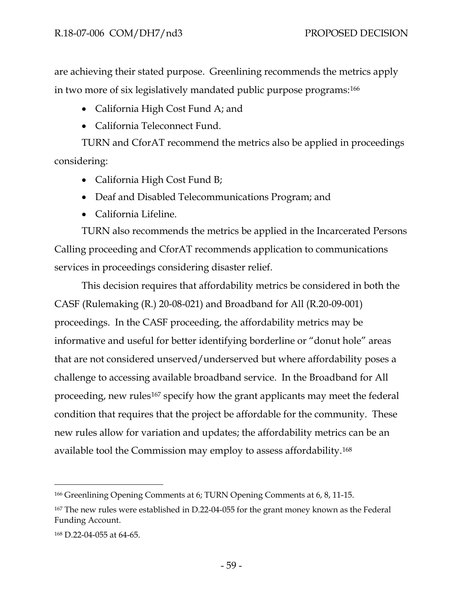are achieving their stated purpose. Greenlining recommends the metrics apply in two more of six legislatively mandated public purpose programs:[166](#page-61-0)

- California High Cost Fund A; and
- California Teleconnect Fund.

TURN and CforAT recommend the metrics also be applied in proceedings considering:

- California High Cost Fund B;
- Deaf and Disabled Telecommunications Program; and
- California Lifeline.

TURN also recommends the metrics be applied in the Incarcerated Persons Calling proceeding and CforAT recommends application to communications services in proceedings considering disaster relief.

This decision requires that affordability metrics be considered in both the CASF (Rulemaking (R.) 20-08-021) and Broadband for All (R.20-09-001) proceedings. In the CASF proceeding, the affordability metrics may be informative and useful for better identifying borderline or "donut hole" areas that are not considered unserved/underserved but where affordability poses a challenge to accessing available broadband service. In the Broadband for All proceeding, new rules<sup>[167](#page-61-1)</sup> specify how the grant applicants may meet the federal condition that requires that the project be affordable for the community. These new rules allow for variation and updates; the affordability metrics can be an available tool the Commission may employ to assess affordability.[168](#page-61-2)

<span id="page-61-0"></span><sup>166</sup> Greenlining Opening Comments at 6; TURN Opening Comments at 6, 8, 11-15.

<span id="page-61-1"></span><sup>167</sup> The new rules were established in D.22-04-055 for the grant money known as the Federal Funding Account.

<span id="page-61-2"></span><sup>168</sup> D.22-04-055 at 64-65.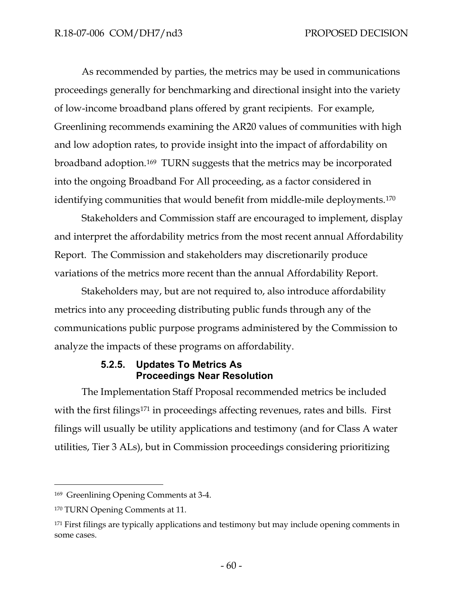As recommended by parties, the metrics may be used in communications proceedings generally for benchmarking and directional insight into the variety of low-income broadband plans offered by grant recipients. For example, Greenlining recommends examining the AR20 values of communities with high and low adoption rates, to provide insight into the impact of affordability on broadband adoption.[169](#page-62-0) TURN suggests that the metrics may be incorporated into the ongoing Broadband For All proceeding, as a factor considered in identifying communities that would benefit from middle-mile deployments[.170](#page-62-1)

Stakeholders and Commission staff are encouraged to implement, display and interpret the affordability metrics from the most recent annual Affordability Report. The Commission and stakeholders may discretionarily produce variations of the metrics more recent than the annual Affordability Report.

Stakeholders may, but are not required to, also introduce affordability metrics into any proceeding distributing public funds through any of the communications public purpose programs administered by the Commission to analyze the impacts of these programs on affordability.

## **5.2.5. Updates To Metrics As Proceedings Near Resolution**

The Implementation Staff Proposal recommended metrics be included with the first filings<sup>[171](#page-62-2)</sup> in proceedings affecting revenues, rates and bills. First filings will usually be utility applications and testimony (and for Class A water utilities, Tier 3 ALs), but in Commission proceedings considering prioritizing

<span id="page-62-0"></span><sup>169</sup> Greenlining Opening Comments at 3-4.

<span id="page-62-1"></span><sup>170</sup> TURN Opening Comments at 11.

<span id="page-62-2"></span><sup>&</sup>lt;sup>171</sup> First filings are typically applications and testimony but may include opening comments in some cases.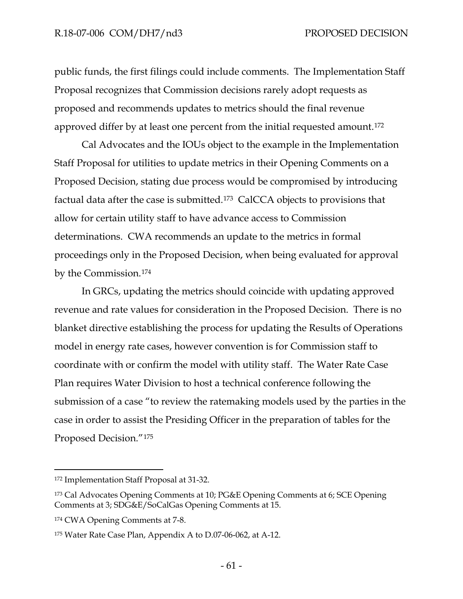public funds, the first filings could include comments. The Implementation Staff Proposal recognizes that Commission decisions rarely adopt requests as proposed and recommends updates to metrics should the final revenue approved differ by at least one percent from the initial requested amount.[172](#page-63-0)

Cal Advocates and the IOUs object to the example in the Implementation Staff Proposal for utilities to update metrics in their Opening Comments on a Proposed Decision, stating due process would be compromised by introducing factual data after the case is submitted.[173](#page-63-1) CalCCA objects to provisions that allow for certain utility staff to have advance access to Commission determinations. CWA recommends an update to the metrics in formal proceedings only in the Proposed Decision, when being evaluated for approval by the Commission.[174](#page-63-2) 

In GRCs, updating the metrics should coincide with updating approved revenue and rate values for consideration in the Proposed Decision. There is no blanket directive establishing the process for updating the Results of Operations model in energy rate cases, however convention is for Commission staff to coordinate with or confirm the model with utility staff. The Water Rate Case Plan requires Water Division to host a technical conference following the submission of a case "to review the ratemaking models used by the parties in the case in order to assist the Presiding Officer in the preparation of tables for the Proposed Decision."[175](#page-63-3) 

<span id="page-63-0"></span><sup>172</sup> Implementation Staff Proposal at 31-32.

<span id="page-63-1"></span><sup>173</sup> Cal Advocates Opening Comments at 10; PG&E Opening Comments at 6; SCE Opening Comments at 3; SDG&E/SoCalGas Opening Comments at 15.

<span id="page-63-2"></span><sup>174</sup> CWA Opening Comments at 7-8.

<span id="page-63-3"></span><sup>175</sup> Water Rate Case Plan, Appendix A to D.07-06-062, at A-12.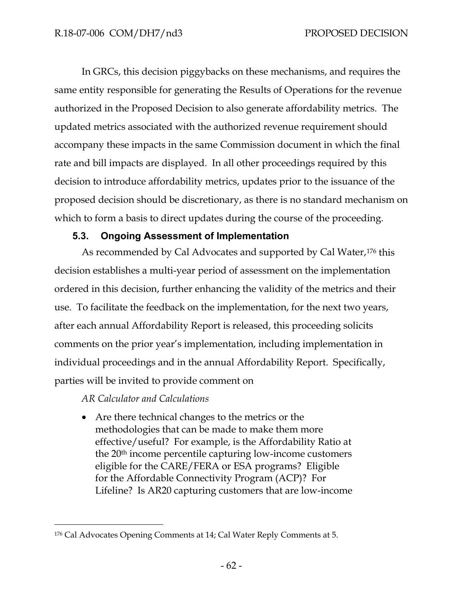In GRCs, this decision piggybacks on these mechanisms, and requires the same entity responsible for generating the Results of Operations for the revenue authorized in the Proposed Decision to also generate affordability metrics. The updated metrics associated with the authorized revenue requirement should accompany these impacts in the same Commission document in which the final rate and bill impacts are displayed. In all other proceedings required by this decision to introduce affordability metrics, updates prior to the issuance of the proposed decision should be discretionary, as there is no standard mechanism on which to form a basis to direct updates during the course of the proceeding.

## **5.3. Ongoing Assessment of Implementation**

As recommended by Cal Advocates and supported by Cal Water,<sup>[176](#page-64-0)</sup> this decision establishes a multi-year period of assessment on the implementation ordered in this decision, further enhancing the validity of the metrics and their use. To facilitate the feedback on the implementation, for the next two years, after each annual Affordability Report is released, this proceeding solicits comments on the prior year's implementation, including implementation in individual proceedings and in the annual Affordability Report. Specifically, parties will be invited to provide comment on

*AR Calculator and Calculations*

• Are there technical changes to the metrics or the methodologies that can be made to make them more effective/useful? For example, is the Affordability Ratio at the 20th income percentile capturing low-income customers eligible for the CARE/FERA or ESA programs? Eligible for the Affordable Connectivity Program (ACP)? For Lifeline? Is AR20 capturing customers that are low-income

<span id="page-64-0"></span><sup>176</sup> Cal Advocates Opening Comments at 14; Cal Water Reply Comments at 5.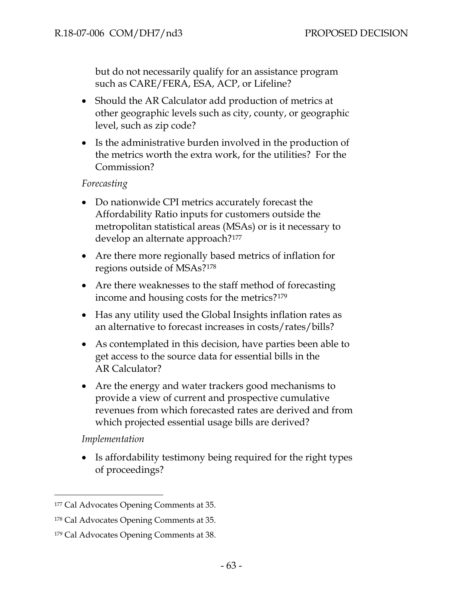but do not necessarily qualify for an assistance program such as CARE/FERA, ESA, ACP, or Lifeline?

- Should the AR Calculator add production of metrics at other geographic levels such as city, county, or geographic level, such as zip code?
- Is the administrative burden involved in the production of the metrics worth the extra work, for the utilities? For the Commission?

#### *Forecasting*

- Do nationwide CPI metrics accurately forecast the Affordability Ratio inputs for customers outside the metropolitan statistical areas (MSAs) or is it necessary to develop an alternate approach?[177](#page-65-0)
- Are there more regionally based metrics of inflation for regions outside of MSAs?[178](#page-65-1)
- Are there weaknesses to the staff method of forecasting income and housing costs for the metrics?[179](#page-65-2)
- Has any utility used the Global Insights inflation rates as an alternative to forecast increases in costs/rates/bills?
- As contemplated in this decision, have parties been able to get access to the source data for essential bills in the AR Calculator?
- Are the energy and water trackers good mechanisms to provide a view of current and prospective cumulative revenues from which forecasted rates are derived and from which projected essential usage bills are derived?

*Implementation*

• Is affordability testimony being required for the right types of proceedings?

<span id="page-65-0"></span><sup>177</sup> Cal Advocates Opening Comments at 35.

<span id="page-65-1"></span><sup>178</sup> Cal Advocates Opening Comments at 35.

<span id="page-65-2"></span><sup>179</sup> Cal Advocates Opening Comments at 38.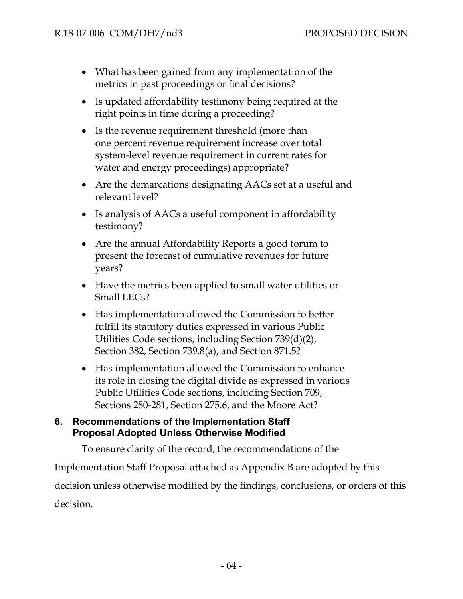- What has been gained from any implementation of the metrics in past proceedings or final decisions?
- Is updated affordability testimony being required at the right points in time during a proceeding?
- Is the revenue requirement threshold (more than one percent revenue requirement increase over total system-level revenue requirement in current rates for water and energy proceedings) appropriate?
- Are the demarcations designating AACs set at a useful and relevant level?
- Is analysis of AACs a useful component in affordability testimony?
- Are the annual Affordability Reports a good forum to present the forecast of cumulative revenues for future years?
- Have the metrics been applied to small water utilities or Small LECs?
- Has implementation allowed the Commission to better fulfill its statutory duties expressed in various Public Utilities Code sections, including Section 739(d)(2), Section 382, Section 739.8(a), and Section 871.5?
- Has implementation allowed the Commission to enhance its role in closing the digital divide as expressed in various Public Utilities Code sections, including Section 709, Sections 280-281, Section 275.6, and the Moore Act?

### **6. Recommendations of the Implementation Staff Proposal Adopted Unless Otherwise Modified**

To ensure clarity of the record, the recommendations of the

Implementation Staff Proposal attached as Appendix B are adopted by this decision unless otherwise modified by the findings, conclusions, or orders of this decision.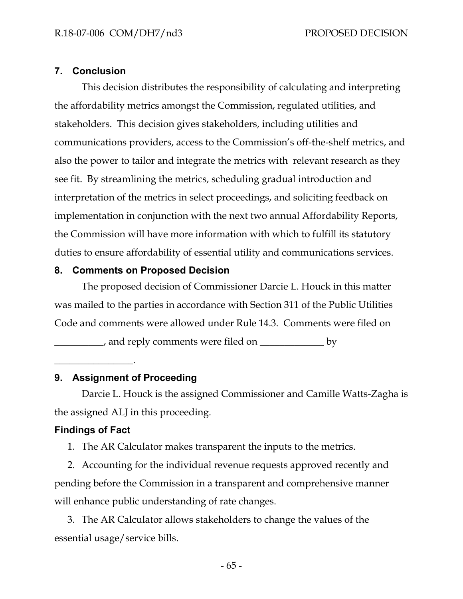### **7. Conclusion**

This decision distributes the responsibility of calculating and interpreting the affordability metrics amongst the Commission, regulated utilities, and stakeholders. This decision gives stakeholders, including utilities and communications providers, access to the Commission's off-the-shelf metrics, and also the power to tailor and integrate the metrics with relevant research as they see fit. By streamlining the metrics, scheduling gradual introduction and interpretation of the metrics in select proceedings, and soliciting feedback on implementation in conjunction with the next two annual Affordability Reports, the Commission will have more information with which to fulfill its statutory duties to ensure affordability of essential utility and communications services.

#### **8. Comments on Proposed Decision**

The proposed decision of Commissioner Darcie L. Houck in this matter was mailed to the parties in accordance with Section 311 of the Public Utilities Code and comments were allowed under Rule 14.3. Comments were filed on

\_\_\_\_\_\_\_\_\_\_, and reply comments were filed on \_\_\_\_\_\_\_\_\_\_\_\_\_ by

 $\overline{\phantom{a}}$  . The set of the set of the set of the set of the set of the set of the set of the set of the set of the set of the set of the set of the set of the set of the set of the set of the set of the set of the set o

### **9. Assignment of Proceeding**

Darcie L. Houck is the assigned Commissioner and Camille Watts-Zagha is the assigned ALJ in this proceeding.

### **Findings of Fact**

1. The AR Calculator makes transparent the inputs to the metrics.

2. Accounting for the individual revenue requests approved recently and pending before the Commission in a transparent and comprehensive manner will enhance public understanding of rate changes.

3. The AR Calculator allows stakeholders to change the values of the essential usage/service bills.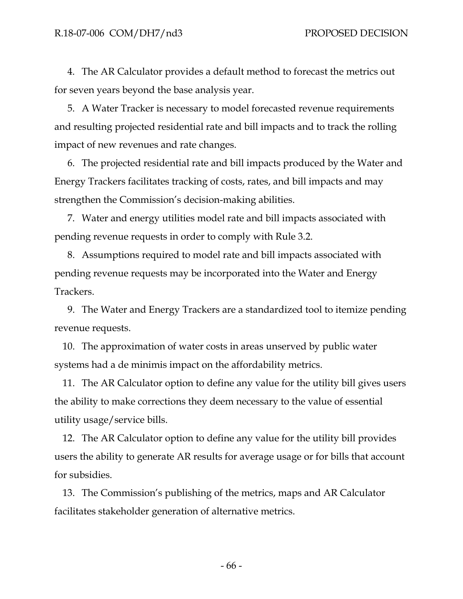4. The AR Calculator provides a default method to forecast the metrics out for seven years beyond the base analysis year.

5. A Water Tracker is necessary to model forecasted revenue requirements and resulting projected residential rate and bill impacts and to track the rolling impact of new revenues and rate changes.

6. The projected residential rate and bill impacts produced by the Water and Energy Trackers facilitates tracking of costs, rates, and bill impacts and may strengthen the Commission's decision-making abilities.

7. Water and energy utilities model rate and bill impacts associated with pending revenue requests in order to comply with Rule 3.2.

8. Assumptions required to model rate and bill impacts associated with pending revenue requests may be incorporated into the Water and Energy Trackers.

9. The Water and Energy Trackers are a standardized tool to itemize pending revenue requests.

10. The approximation of water costs in areas unserved by public water systems had a de minimis impact on the affordability metrics.

11. The AR Calculator option to define any value for the utility bill gives users the ability to make corrections they deem necessary to the value of essential utility usage/service bills.

12. The AR Calculator option to define any value for the utility bill provides users the ability to generate AR results for average usage or for bills that account for subsidies.

13. The Commission's publishing of the metrics, maps and AR Calculator facilitates stakeholder generation of alternative metrics.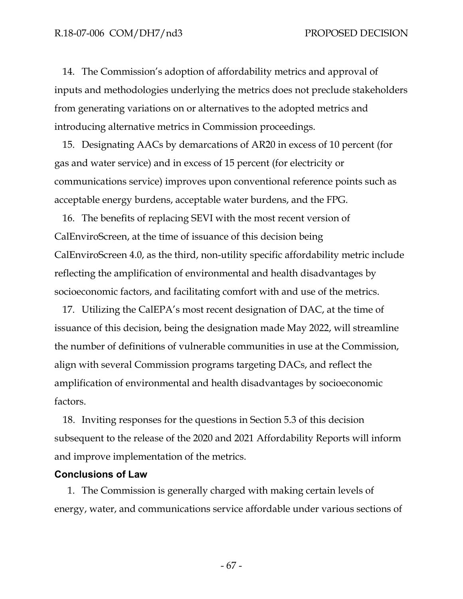14. The Commission's adoption of affordability metrics and approval of inputs and methodologies underlying the metrics does not preclude stakeholders from generating variations on or alternatives to the adopted metrics and introducing alternative metrics in Commission proceedings.

15. Designating AACs by demarcations of AR20 in excess of 10 percent (for gas and water service) and in excess of 15 percent (for electricity or communications service) improves upon conventional reference points such as acceptable energy burdens, acceptable water burdens, and the FPG.

16. The benefits of replacing SEVI with the most recent version of CalEnviroScreen, at the time of issuance of this decision being CalEnviroScreen 4.0, as the third, non-utility specific affordability metric include reflecting the amplification of environmental and health disadvantages by socioeconomic factors, and facilitating comfort with and use of the metrics.

17. Utilizing the CalEPA's most recent designation of DAC, at the time of issuance of this decision, being the designation made May 2022, will streamline the number of definitions of vulnerable communities in use at the Commission, align with several Commission programs targeting DACs, and reflect the amplification of environmental and health disadvantages by socioeconomic factors.

18. Inviting responses for the questions in Section 5.3 of this decision subsequent to the release of the 2020 and 2021 Affordability Reports will inform and improve implementation of the metrics.

#### **Conclusions of Law**

1. The Commission is generally charged with making certain levels of energy, water, and communications service affordable under various sections of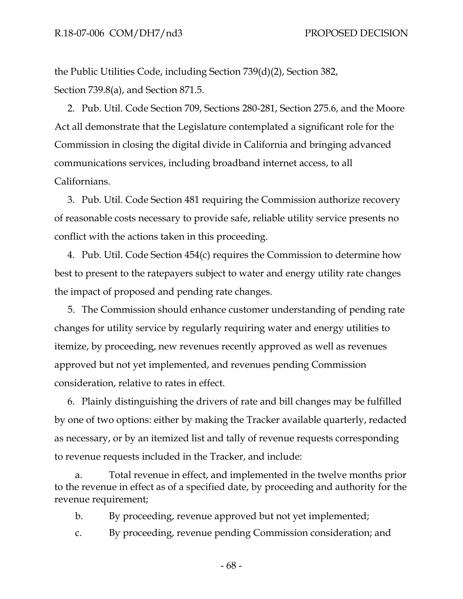the Public Utilities Code, including Section 739(d)(2), Section 382, Section 739.8(a), and Section 871.5.

2. Pub. Util. Code Section 709, Sections 280-281, Section 275.6, and the Moore Act all demonstrate that the Legislature contemplated a significant role for the Commission in closing the digital divide in California and bringing advanced communications services, including broadband internet access, to all Californians.

3. Pub. Util. Code Section 481 requiring the Commission authorize recovery of reasonable costs necessary to provide safe, reliable utility service presents no conflict with the actions taken in this proceeding.

4. Pub. Util. Code Section 454(c) requires the Commission to determine how best to present to the ratepayers subject to water and energy utility rate changes the impact of proposed and pending rate changes.

5. The Commission should enhance customer understanding of pending rate changes for utility service by regularly requiring water and energy utilities to itemize, by proceeding, new revenues recently approved as well as revenues approved but not yet implemented, and revenues pending Commission consideration, relative to rates in effect.

6. Plainly distinguishing the drivers of rate and bill changes may be fulfilled by one of two options: either by making the Tracker available quarterly, redacted as necessary, or by an itemized list and tally of revenue requests corresponding to revenue requests included in the Tracker, and include:

Total revenue in effect, and implemented in the twelve months prior to the revenue in effect as of a specified date, by proceeding and authority for the revenue requirement;

b. By proceeding, revenue approved but not yet implemented;

c. By proceeding, revenue pending Commission consideration; and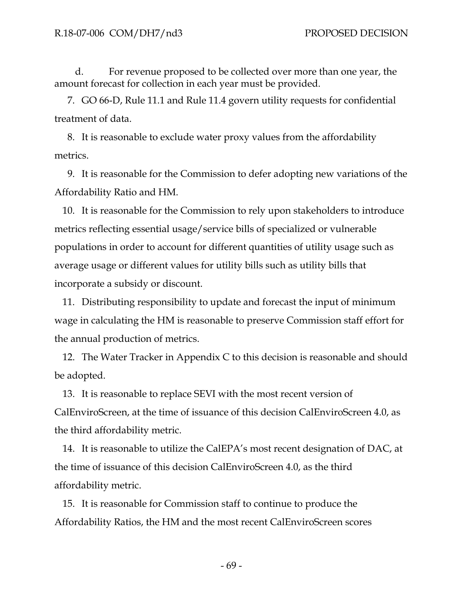d. For revenue proposed to be collected over more than one year, the amount forecast for collection in each year must be provided.

7. GO 66-D, Rule 11.1 and Rule 11.4 govern utility requests for confidential treatment of data.

8. It is reasonable to exclude water proxy values from the affordability metrics.

9. It is reasonable for the Commission to defer adopting new variations of the Affordability Ratio and HM.

10. It is reasonable for the Commission to rely upon stakeholders to introduce metrics reflecting essential usage/service bills of specialized or vulnerable populations in order to account for different quantities of utility usage such as average usage or different values for utility bills such as utility bills that incorporate a subsidy or discount.

11. Distributing responsibility to update and forecast the input of minimum wage in calculating the HM is reasonable to preserve Commission staff effort for the annual production of metrics.

12. The Water Tracker in Appendix C to this decision is reasonable and should be adopted.

13. It is reasonable to replace SEVI with the most recent version of CalEnviroScreen, at the time of issuance of this decision CalEnviroScreen 4.0, as the third affordability metric.

14. It is reasonable to utilize the CalEPA's most recent designation of DAC, at the time of issuance of this decision CalEnviroScreen 4.0, as the third affordability metric.

15. It is reasonable for Commission staff to continue to produce the Affordability Ratios, the HM and the most recent CalEnviroScreen scores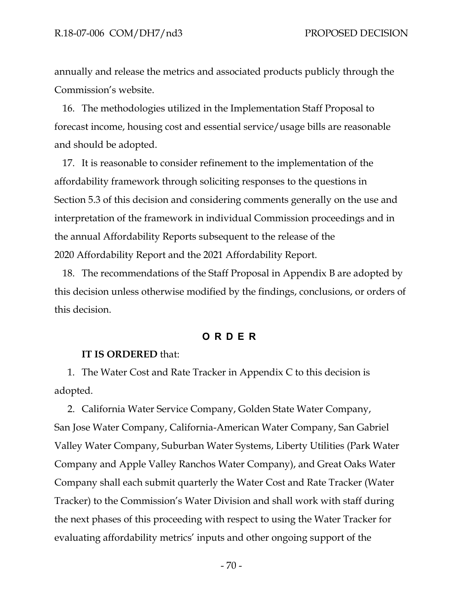annually and release the metrics and associated products publicly through the Commission's website.

16. The methodologies utilized in the Implementation Staff Proposal to forecast income, housing cost and essential service/usage bills are reasonable and should be adopted.

17. It is reasonable to consider refinement to the implementation of the affordability framework through soliciting responses to the questions in Section 5.3 of this decision and considering comments generally on the use and interpretation of the framework in individual Commission proceedings and in the annual Affordability Reports subsequent to the release of the 2020 Affordability Report and the 2021 Affordability Report.

18. The recommendations of the Staff Proposal in Appendix B are adopted by this decision unless otherwise modified by the findings, conclusions, or orders of this decision.

#### **ORDER**

#### **IT IS ORDERED** that:

1. The Water Cost and Rate Tracker in Appendix C to this decision is adopted.

2. California Water Service Company, Golden State Water Company, San Jose Water Company, California-American Water Company, San Gabriel Valley Water Company, Suburban Water Systems, Liberty Utilities (Park Water Company and Apple Valley Ranchos Water Company), and Great Oaks Water Company shall each submit quarterly the Water Cost and Rate Tracker (Water Tracker) to the Commission's Water Division and shall work with staff during the next phases of this proceeding with respect to using the Water Tracker for evaluating affordability metrics' inputs and other ongoing support of the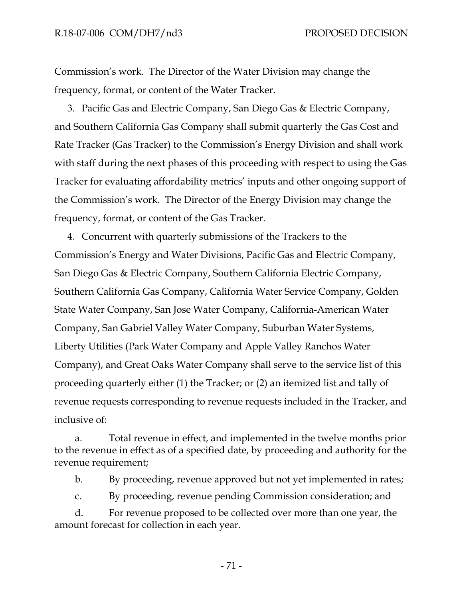Commission's work. The Director of the Water Division may change the frequency, format, or content of the Water Tracker.

3. Pacific Gas and Electric Company, San Diego Gas & Electric Company, and Southern California Gas Company shall submit quarterly the Gas Cost and Rate Tracker (Gas Tracker) to the Commission's Energy Division and shall work with staff during the next phases of this proceeding with respect to using the Gas Tracker for evaluating affordability metrics' inputs and other ongoing support of the Commission's work. The Director of the Energy Division may change the frequency, format, or content of the Gas Tracker.

4. Concurrent with quarterly submissions of the Trackers to the Commission's Energy and Water Divisions, Pacific Gas and Electric Company, San Diego Gas & Electric Company, Southern California Electric Company, Southern California Gas Company, California Water Service Company, Golden State Water Company, San Jose Water Company, California-American Water Company, San Gabriel Valley Water Company, Suburban Water Systems, Liberty Utilities (Park Water Company and Apple Valley Ranchos Water Company), and Great Oaks Water Company shall serve to the service list of this proceeding quarterly either (1) the Tracker; or (2) an itemized list and tally of revenue requests corresponding to revenue requests included in the Tracker, and inclusive of:

a. Total revenue in effect, and implemented in the twelve months prior to the revenue in effect as of a specified date, by proceeding and authority for the revenue requirement;

b. By proceeding, revenue approved but not yet implemented in rates;

c. By proceeding, revenue pending Commission consideration; and

d. For revenue proposed to be collected over more than one year, the amount forecast for collection in each year.

- 71 -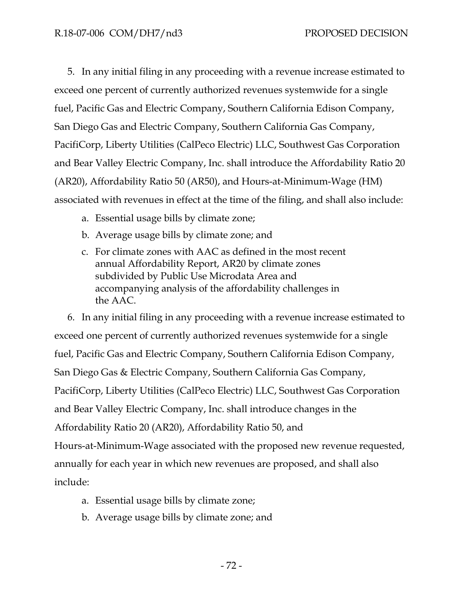5. In any initial filing in any proceeding with a revenue increase estimated to exceed one percent of currently authorized revenues systemwide for a single fuel, Pacific Gas and Electric Company, Southern California Edison Company, San Diego Gas and Electric Company, Southern California Gas Company, PacifiCorp, Liberty Utilities (CalPeco Electric) LLC, Southwest Gas Corporation and Bear Valley Electric Company, Inc. shall introduce the Affordability Ratio 20 (AR20), Affordability Ratio 50 (AR50), and Hours-at-Minimum-Wage (HM) associated with revenues in effect at the time of the filing, and shall also include:

- a. Essential usage bills by climate zone;
- b. Average usage bills by climate zone; and
- c. For climate zones with AAC as defined in the most recent annual Affordability Report, AR20 by climate zones subdivided by Public Use Microdata Area and accompanying analysis of the affordability challenges in the AAC.

6. In any initial filing in any proceeding with a revenue increase estimated to exceed one percent of currently authorized revenues systemwide for a single fuel, Pacific Gas and Electric Company, Southern California Edison Company, San Diego Gas & Electric Company, Southern California Gas Company, PacifiCorp, Liberty Utilities (CalPeco Electric) LLC, Southwest Gas Corporation and Bear Valley Electric Company, Inc. shall introduce changes in the Affordability Ratio 20 (AR20), Affordability Ratio 50, and Hours-at-Minimum-Wage associated with the proposed new revenue requested, annually for each year in which new revenues are proposed, and shall also include:

- a. Essential usage bills by climate zone;
- b. Average usage bills by climate zone; and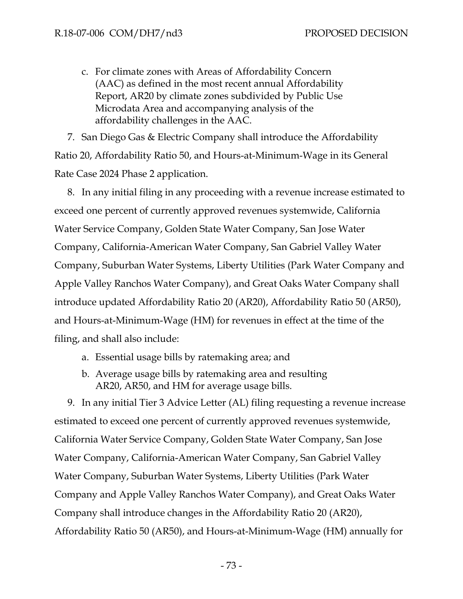c. For climate zones with Areas of Affordability Concern (AAC) as defined in the most recent annual Affordability Report, AR20 by climate zones subdivided by Public Use Microdata Area and accompanying analysis of the affordability challenges in the AAC.

7. San Diego Gas & Electric Company shall introduce the Affordability Ratio 20, Affordability Ratio 50, and Hours-at-Minimum-Wage in its General Rate Case 2024 Phase 2 application.

8. In any initial filing in any proceeding with a revenue increase estimated to exceed one percent of currently approved revenues systemwide, California Water Service Company, Golden State Water Company, San Jose Water Company, California-American Water Company, San Gabriel Valley Water Company, Suburban Water Systems, Liberty Utilities (Park Water Company and Apple Valley Ranchos Water Company), and Great Oaks Water Company shall introduce updated Affordability Ratio 20 (AR20), Affordability Ratio 50 (AR50), and Hours-at-Minimum-Wage (HM) for revenues in effect at the time of the filing, and shall also include:

- a. Essential usage bills by ratemaking area; and
- b. Average usage bills by ratemaking area and resulting AR20, AR50, and HM for average usage bills.

9. In any initial Tier 3 Advice Letter (AL) filing requesting a revenue increase estimated to exceed one percent of currently approved revenues systemwide, California Water Service Company, Golden State Water Company, San Jose Water Company, California-American Water Company, San Gabriel Valley Water Company, Suburban Water Systems, Liberty Utilities (Park Water Company and Apple Valley Ranchos Water Company), and Great Oaks Water Company shall introduce changes in the Affordability Ratio 20 (AR20), Affordability Ratio 50 (AR50), and Hours-at-Minimum-Wage (HM) annually for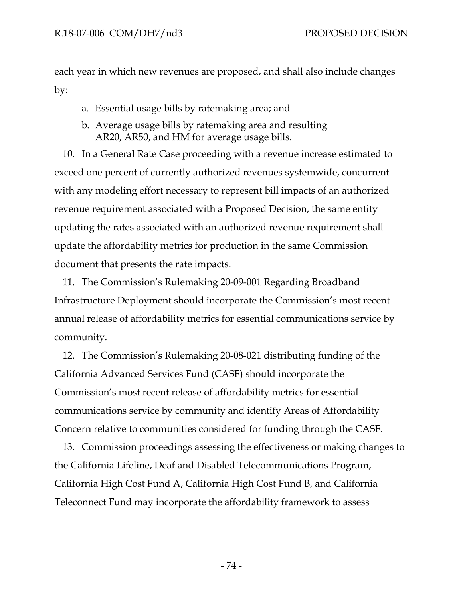each year in which new revenues are proposed, and shall also include changes by:

- a. Essential usage bills by ratemaking area; and
- b. Average usage bills by ratemaking area and resulting AR20, AR50, and HM for average usage bills.

10. In a General Rate Case proceeding with a revenue increase estimated to exceed one percent of currently authorized revenues systemwide, concurrent with any modeling effort necessary to represent bill impacts of an authorized revenue requirement associated with a Proposed Decision, the same entity updating the rates associated with an authorized revenue requirement shall update the affordability metrics for production in the same Commission document that presents the rate impacts.

11. The Commission's Rulemaking 20-09-001 Regarding Broadband Infrastructure Deployment should incorporate the Commission's most recent annual release of affordability metrics for essential communications service by community.

12. The Commission's Rulemaking 20-08-021 distributing funding of the California Advanced Services Fund (CASF) should incorporate the Commission's most recent release of affordability metrics for essential communications service by community and identify Areas of Affordability Concern relative to communities considered for funding through the CASF.

13. Commission proceedings assessing the effectiveness or making changes to the California Lifeline, Deaf and Disabled Telecommunications Program, California High Cost Fund A, California High Cost Fund B, and California Teleconnect Fund may incorporate the affordability framework to assess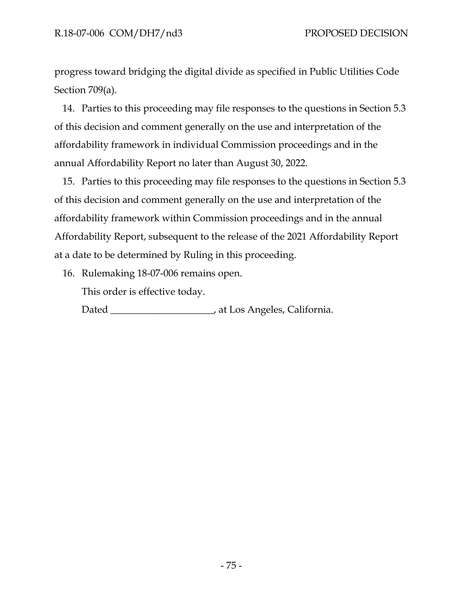progress toward bridging the digital divide as specified in Public Utilities Code Section 709(a).

14. Parties to this proceeding may file responses to the questions in Section 5.3 of this decision and comment generally on the use and interpretation of the affordability framework in individual Commission proceedings and in the annual Affordability Report no later than August 30, 2022.

15. Parties to this proceeding may file responses to the questions in Section 5.3 of this decision and comment generally on the use and interpretation of the affordability framework within Commission proceedings and in the annual Affordability Report, subsequent to the release of the 2021 Affordability Report at a date to be determined by Ruling in this proceeding.

16. Rulemaking 18-07-006 remains open.

This order is effective today.

Dated \_\_\_\_\_\_\_\_\_\_\_\_\_\_\_\_\_\_\_\_\_, at Los Angeles, California.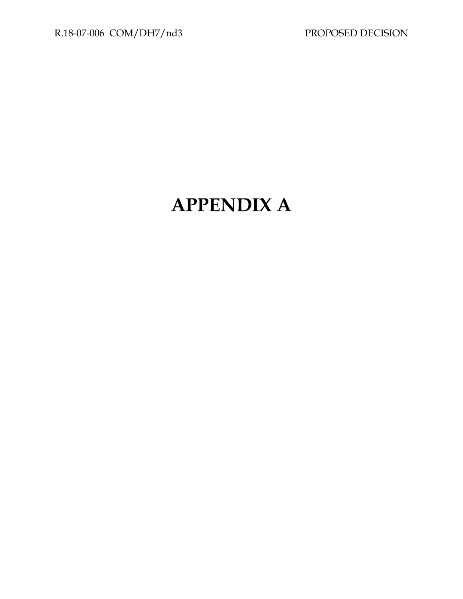# **APPENDIX A**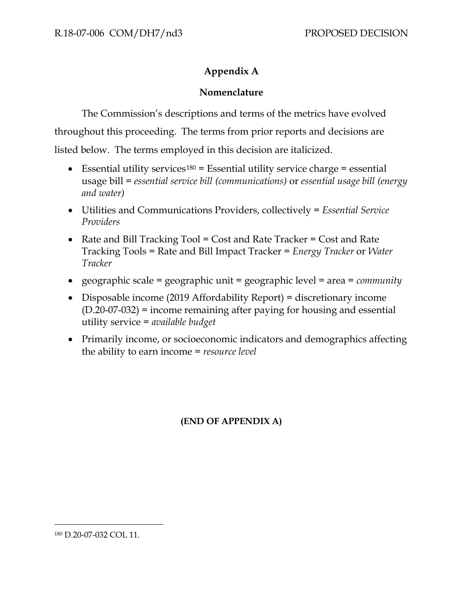## **Appendix A**

### **Nomenclature**

The Commission's descriptions and terms of the metrics have evolved throughout this proceeding. The terms from prior reports and decisions are listed below. The terms employed in this decision are italicized.

- Essential utility services<sup>[180](#page-79-0)</sup> = Essential utility service charge = essential usage bill = *essential service bill (communications)* or *essential usage bill (energy and water)*
- Utilities and Communications Providers, collectively = *Essential Service Providers*
- Rate and Bill Tracking Tool = Cost and Rate Tracker = Cost and Rate Tracking Tools = Rate and Bill Impact Tracker = *Energy Tracker* or *Water Tracker*
- geographic scale = geographic unit = geographic level = area = *community*
- Disposable income (2019 Affordability Report) = discretionary income (D.20-07-032) = income remaining after paying for housing and essential utility service = *available budget*
- Primarily income, or socioeconomic indicators and demographics affecting the ability to earn income = *resource level*

## **(END OF APPENDIX A)**

<span id="page-79-0"></span><sup>180</sup> D.20-07-032 COL 11.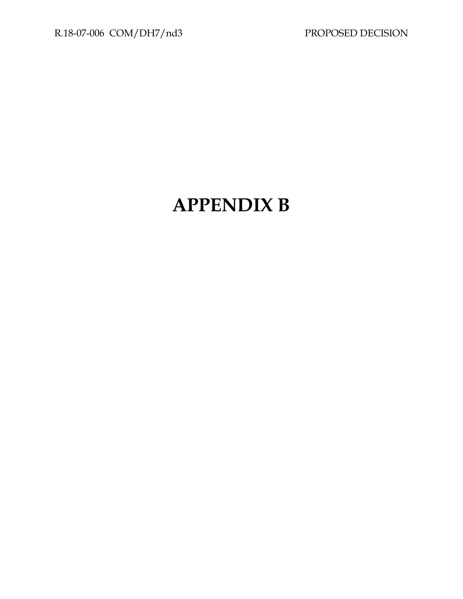# **APPENDIX B**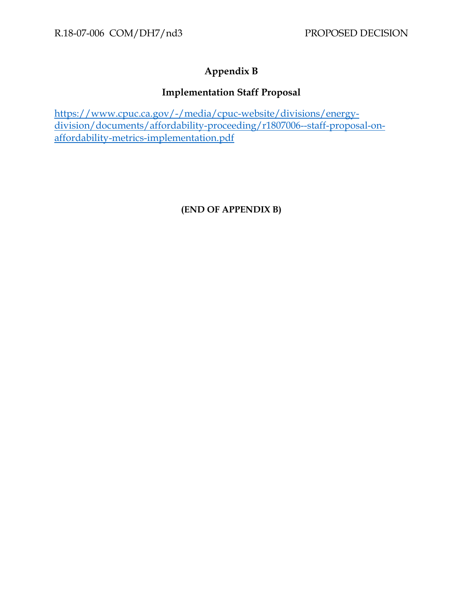# **Appendix B**

### **Implementation Staff Proposal**

[https://www.cpuc.ca.gov/-/media/cpuc-website/divisions/energy](https://www.cpuc.ca.gov/-/media/cpuc-website/divisions/energy-division/documents/affordability-proceeding/r1807006--staff-proposal-on-affordability-metrics-implementation.pdf)[division/documents/affordability-proceeding/r1807006--staff-proposal-on](https://www.cpuc.ca.gov/-/media/cpuc-website/divisions/energy-division/documents/affordability-proceeding/r1807006--staff-proposal-on-affordability-metrics-implementation.pdf)[affordability-metrics-implementation.pdf](https://www.cpuc.ca.gov/-/media/cpuc-website/divisions/energy-division/documents/affordability-proceeding/r1807006--staff-proposal-on-affordability-metrics-implementation.pdf)

### **(END OF APPENDIX B)**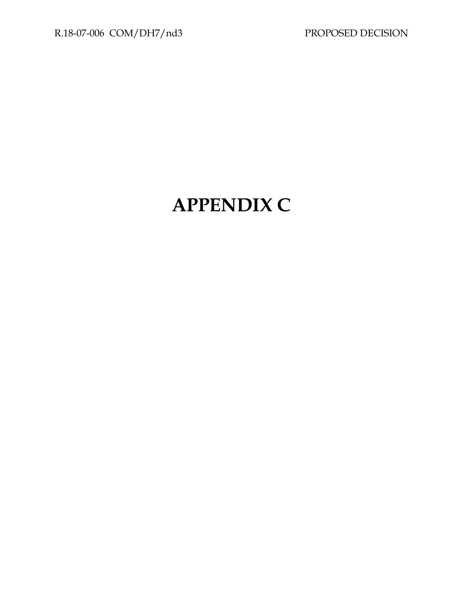# **APPENDIX C**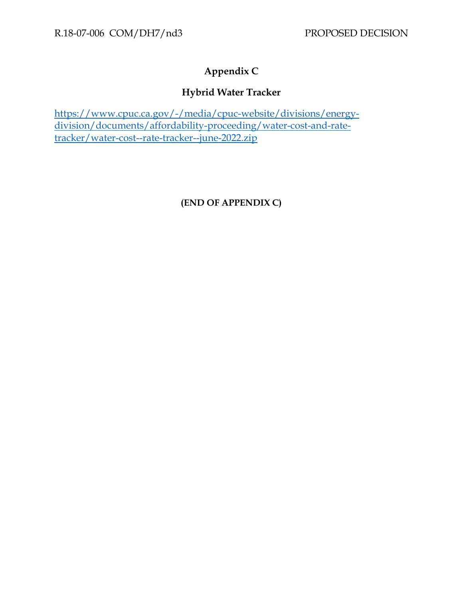# **Appendix C**

## **Hybrid Water Tracker**

https://www.cpuc.ca.gov/-/media/cpuc-website/divisions/energydivision/documents/affordability-proceeding/water-cost-and-ratetracker/water-cost--rate-tracker--june-2022.zip

**(END OF APPENDIX C)**